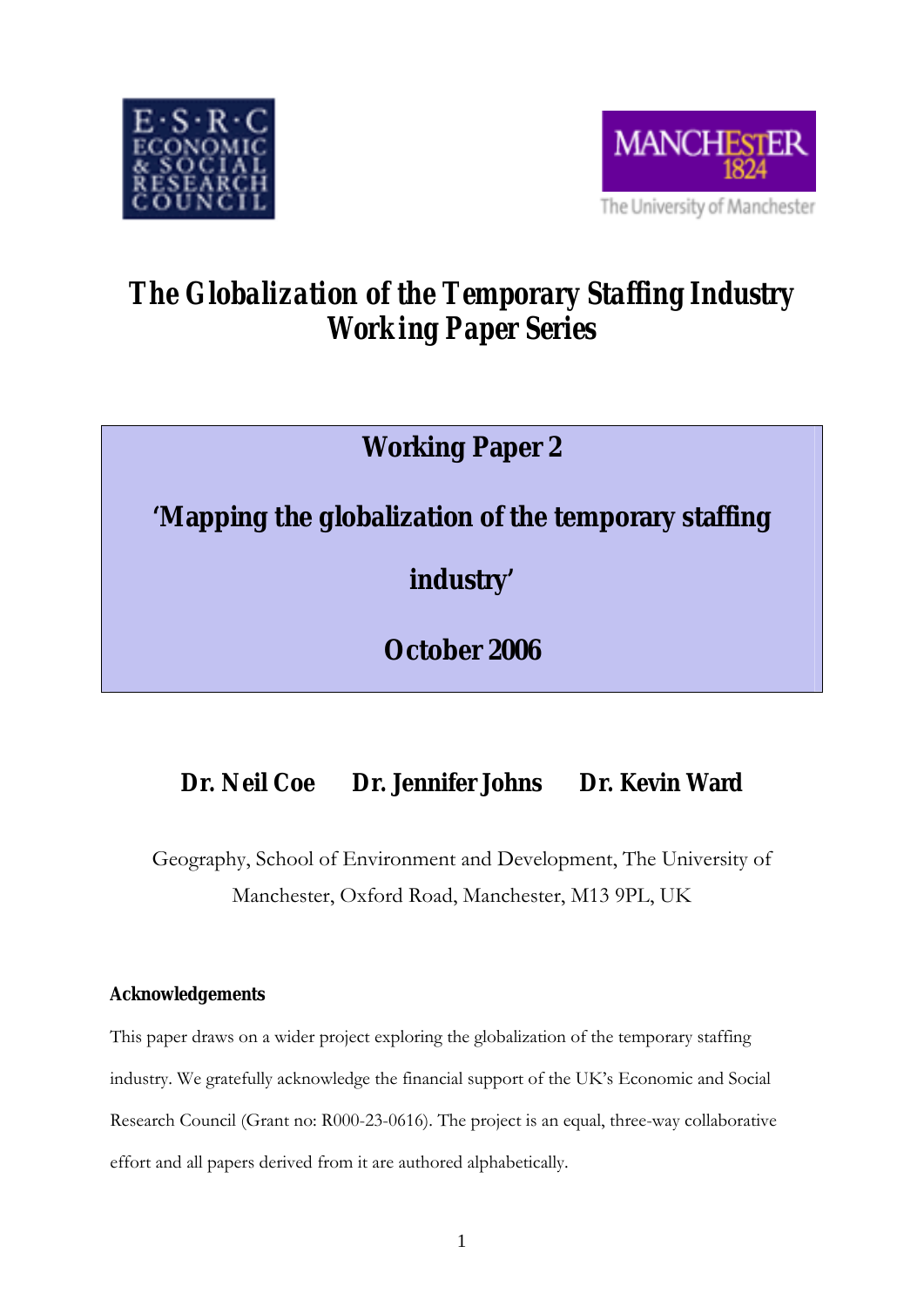



# *The Globalization of the Temporary Staffing Industry Working Paper Series*

## **Working Paper 2**

### **'Mapping the globalization of the temporary staffing**

**industry'** 

**October 2006** 

### **Dr. Neil Coe Dr. Jennifer Johns Dr. Kevin Ward**

Geography, School of Environment and Development, The University of Manchester, Oxford Road, Manchester, M13 9PL, UK

### **Acknowledgements**

This paper draws on a wider project exploring the globalization of the temporary staffing industry. We gratefully acknowledge the financial support of the UK's Economic and Social Research Council (Grant no: R000-23-0616). The project is an equal, three-way collaborative effort and all papers derived from it are authored alphabetically.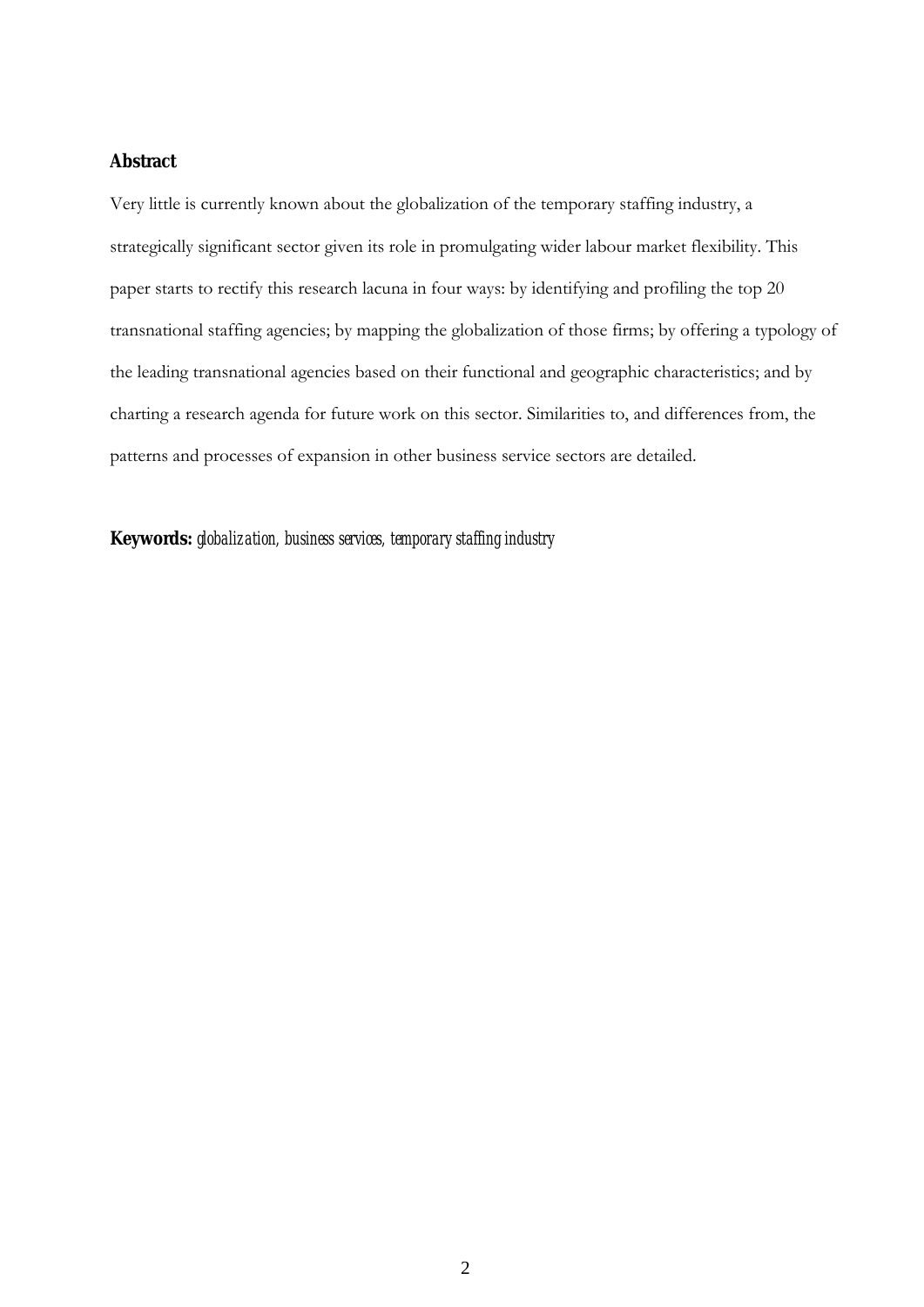#### **Abstract**

Very little is currently known about the globalization of the temporary staffing industry, a strategically significant sector given its role in promulgating wider labour market flexibility. This paper starts to rectify this research lacuna in four ways: by identifying and profiling the top 20 transnational staffing agencies; by mapping the globalization of those firms; by offering a typology of the leading transnational agencies based on their functional and geographic characteristics; and by charting a research agenda for future work on this sector. Similarities to, and differences from, the patterns and processes of expansion in other business service sectors are detailed.

**Keywords:** *globalization, business services, temporary staffing industry*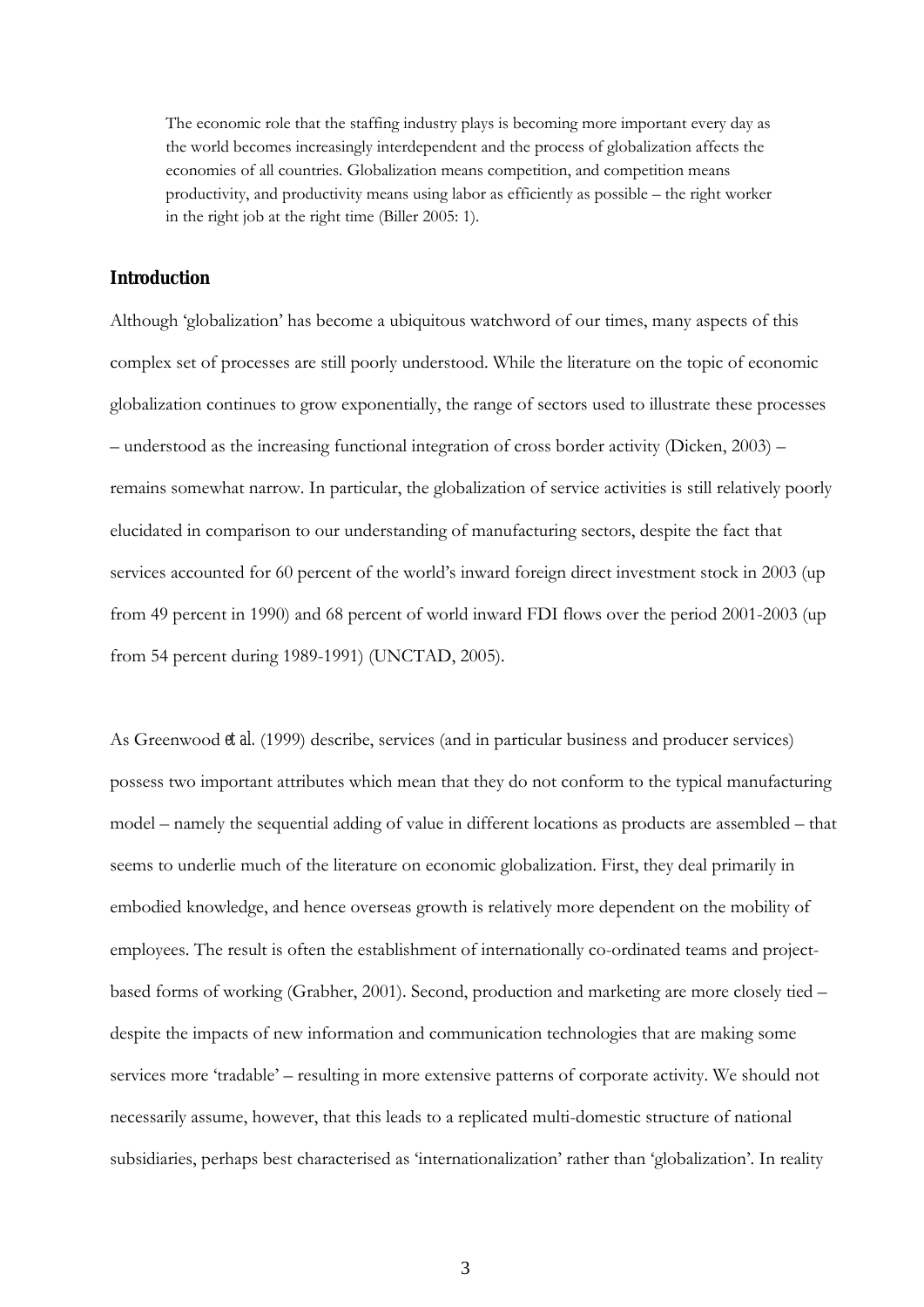The economic role that the staffing industry plays is becoming more important every day as the world becomes increasingly interdependent and the process of globalization affects the economies of all countries. Globalization means competition, and competition means productivity, and productivity means using labor as efficiently as possible – the right worker in the right job at the right time (Biller 2005: 1).

#### **Introduction**

Although 'globalization' has become a ubiquitous watchword of our times, many aspects of this complex set of processes are still poorly understood. While the literature on the topic of economic globalization continues to grow exponentially, the range of sectors used to illustrate these processes – understood as the increasing functional integration of cross border activity (Dicken, 2003) – remains somewhat narrow. In particular, the globalization of service activities is still relatively poorly elucidated in comparison to our understanding of manufacturing sectors, despite the fact that services accounted for 60 percent of the world's inward foreign direct investment stock in 2003 (up from 49 percent in 1990) and 68 percent of world inward FDI flows over the period 2001-2003 (up from 54 percent during 1989-1991) (UNCTAD, 2005).

As Greenwood *et al.* (1999) describe, services (and in particular business and producer services) possess two important attributes which mean that they do not conform to the typical manufacturing model – namely the sequential adding of value in different locations as products are assembled – that seems to underlie much of the literature on economic globalization. First, they deal primarily in embodied knowledge, and hence overseas growth is relatively more dependent on the mobility of employees. The result is often the establishment of internationally co-ordinated teams and projectbased forms of working (Grabher, 2001). Second, production and marketing are more closely tied – despite the impacts of new information and communication technologies that are making some services more 'tradable' – resulting in more extensive patterns of corporate activity. We should not necessarily assume, however, that this leads to a replicated multi-domestic structure of national subsidiaries, perhaps best characterised as 'internationalization' rather than 'globalization'. In reality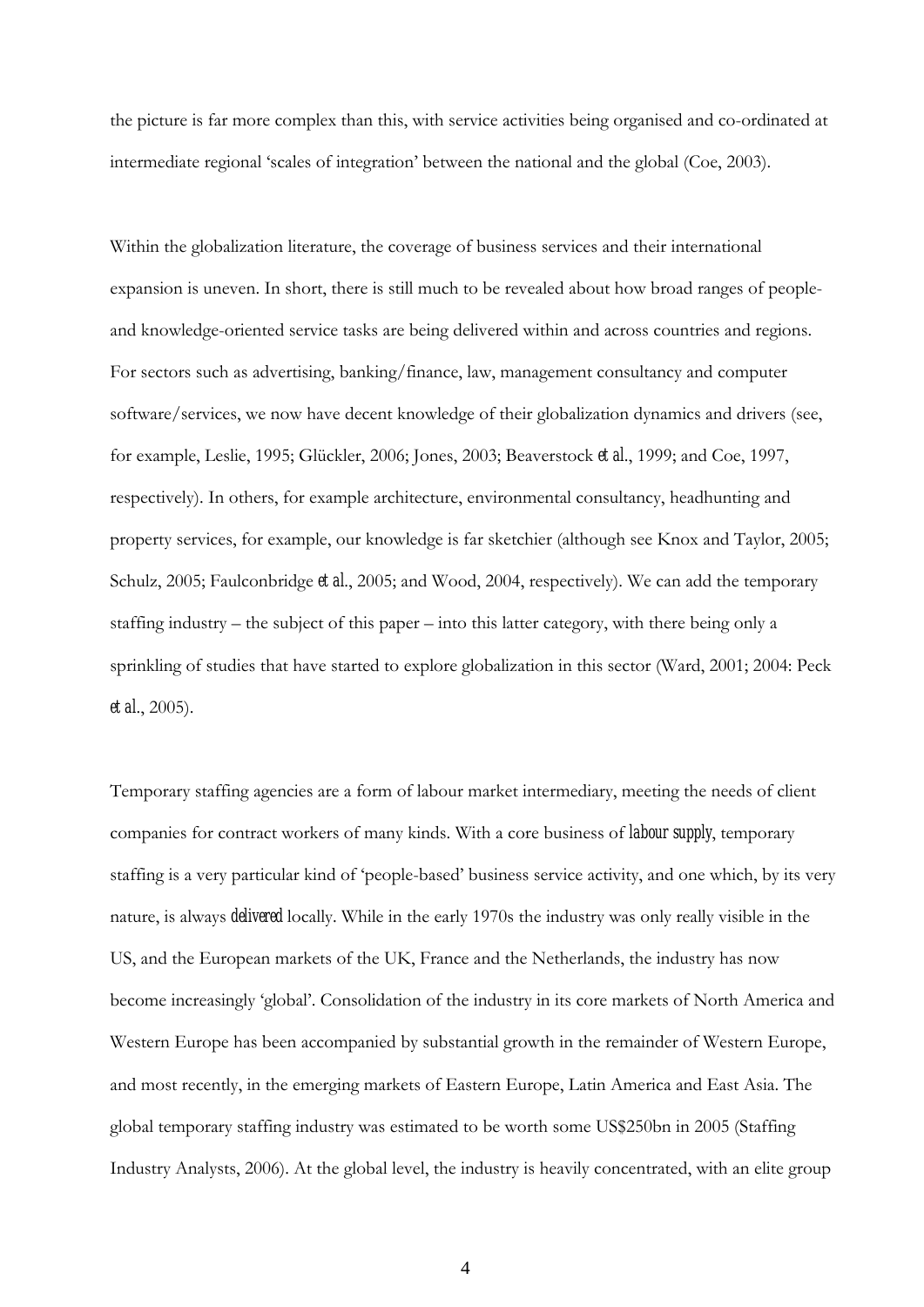the picture is far more complex than this, with service activities being organised and co-ordinated at intermediate regional 'scales of integration' between the national and the global (Coe, 2003).

Within the globalization literature, the coverage of business services and their international expansion is uneven. In short, there is still much to be revealed about how broad ranges of peopleand knowledge-oriented service tasks are being delivered within and across countries and regions. For sectors such as advertising, banking/finance, law, management consultancy and computer software/services, we now have decent knowledge of their globalization dynamics and drivers (see, for example, Leslie, 1995; Glückler, 2006; Jones, 2003; Beaverstock *et al*., 1999; and Coe, 1997, respectively). In others, for example architecture, environmental consultancy, headhunting and property services, for example, our knowledge is far sketchier (although see Knox and Taylor, 2005; Schulz, 2005; Faulconbridge *et al*., 2005; and Wood, 2004, respectively). We can add the temporary staffing industry – the subject of this paper – into this latter category, with there being only a sprinkling of studies that have started to explore globalization in this sector (Ward, 2001; 2004: Peck *et al*., 2005).

Temporary staffing agencies are a form of labour market intermediary, meeting the needs of client companies for contract workers of many kinds. With a core business of *labour supply*, temporary staffing is a very particular kind of 'people-based' business service activity, and one which, by its very nature, is always *delivered* locally. While in the early 1970s the industry was only really visible in the US, and the European markets of the UK, France and the Netherlands, the industry has now become increasingly 'global'. Consolidation of the industry in its core markets of North America and Western Europe has been accompanied by substantial growth in the remainder of Western Europe, and most recently, in the emerging markets of Eastern Europe, Latin America and East Asia. The global temporary staffing industry was estimated to be worth some US\$250bn in 2005 (Staffing Industry Analysts, 2006). At the global level, the industry is heavily concentrated, with an elite group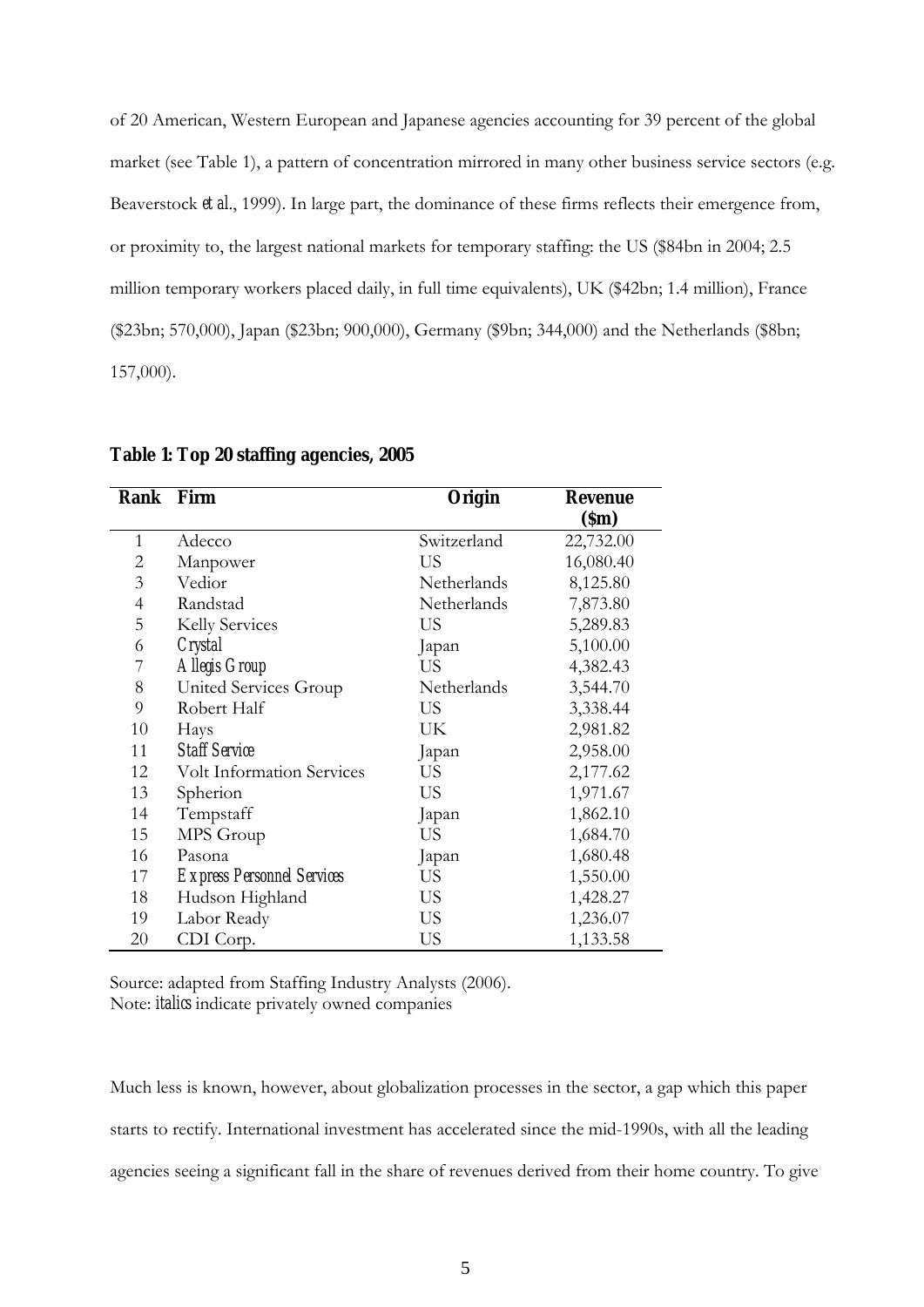of 20 American, Western European and Japanese agencies accounting for 39 percent of the global market (see Table 1), a pattern of concentration mirrored in many other business service sectors (e.g. Beaverstock *et al*., 1999). In large part, the dominance of these firms reflects their emergence from, or proximity to, the largest national markets for temporary staffing: the US (\$84bn in 2004; 2.5 million temporary workers placed daily, in full time equivalents), UK (\$42bn; 1.4 million), France (\$23bn; 570,000), Japan (\$23bn; 900,000), Germany (\$9bn; 344,000) and the Netherlands (\$8bn; 157,000).

| Rank           | Firm<br>Origin                    |             | <b>Revenue</b> |  |
|----------------|-----------------------------------|-------------|----------------|--|
|                |                                   |             | (Sm)           |  |
| $\mathbf{1}$   | Adecco                            | Switzerland | 22,732.00      |  |
| 2              | Manpower                          | US          | 16,080.40      |  |
| 3              | Vedior                            | Netherlands | 8,125.80       |  |
| $\overline{4}$ | Randstad                          | Netherlands | 7,873.80       |  |
| 5              | Kelly Services                    | US          | 5,289.83       |  |
| 6              | Crystal                           | Japan       | 5,100.00       |  |
| 7              | Allegis Group                     | US          | 4,382.43       |  |
| 8              | United Services Group             | Netherlands | 3,544.70       |  |
| 9              | Robert Half                       | US          | 3,338.44       |  |
| 10             | Hays                              | UK          | 2,981.82       |  |
| 11             | <b>Staff Service</b>              | Japan       | 2,958.00       |  |
| 12             | <b>Volt Information Services</b>  | US          | 2,177.62       |  |
| 13             | Spherion                          | US          | 1,971.67       |  |
| 14             | Tempstaff                         | Japan       | 1,862.10       |  |
| 15             | MPS Group                         | US          | 1,684.70       |  |
| 16             | Pasona                            | Japan       | 1,680.48       |  |
| 17             | <b>Express Personnel Services</b> | US          | 1,550.00       |  |
| 18             | Hudson Highland                   | US          | 1,428.27       |  |
| 19             | Labor Ready                       | US          | 1,236.07       |  |
| 20             | CDI Corp.                         | US          | 1,133.58       |  |

**Table 1: Top 20 staffing agencies, 2005** 

Source: adapted from Staffing Industry Analysts (2006). Note: *italics* indicate privately owned companies

Much less is known, however, about globalization processes in the sector, a gap which this paper starts to rectify. International investment has accelerated since the mid-1990s, with all the leading agencies seeing a significant fall in the share of revenues derived from their home country. To give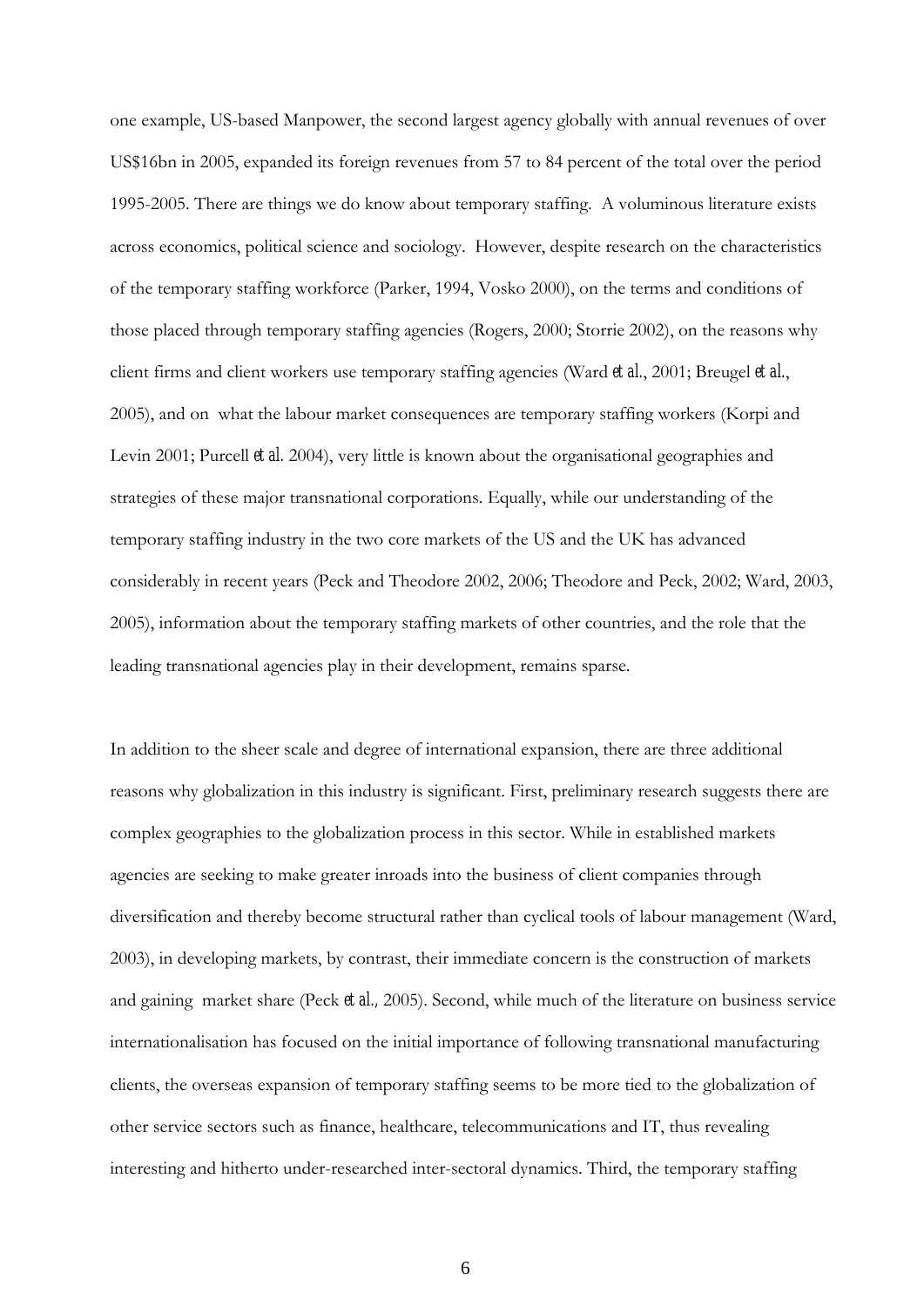one example, US-based Manpower, the second largest agency globally with annual revenues of over US\$16bn in 2005, expanded its foreign revenues from 57 to 84 percent of the total over the period 1995-2005. There are things we do know about temporary staffing. A voluminous literature exists across economics, political science and sociology. However, despite research on the characteristics of the temporary staffing workforce (Parker, 1994, Vosko 2000), on the terms and conditions of those placed through temporary staffing agencies (Rogers, 2000; Storrie 2002), on the reasons why client firms and client workers use temporary staffing agencies (Ward *et al.*, 2001; Breugel *et al.*, 2005), and on what the labour market consequences are temporary staffing workers (Korpi and Levin 2001; Purcell *et al.* 2004), very little is known about the organisational geographies and strategies of these major transnational corporations. Equally, while our understanding of the temporary staffing industry in the two core markets of the US and the UK has advanced considerably in recent years (Peck and Theodore 2002, 2006; Theodore and Peck, 2002; Ward, 2003, 2005), information about the temporary staffing markets of other countries, and the role that the leading transnational agencies play in their development, remains sparse.

In addition to the sheer scale and degree of international expansion, there are three additional reasons why globalization in this industry is significant. First, preliminary research suggests there are complex geographies to the globalization process in this sector. While in established markets agencies are seeking to make greater inroads into the business of client companies through diversification and thereby become structural rather than cyclical tools of labour management (Ward, 2003), in developing markets, by contrast, their immediate concern is the construction of markets and gaining market share (Peck *et al.,* 2005). Second, while much of the literature on business service internationalisation has focused on the initial importance of following transnational manufacturing clients, the overseas expansion of temporary staffing seems to be more tied to the globalization of other service sectors such as finance, healthcare, telecommunications and IT, thus revealing interesting and hitherto under-researched inter-sectoral dynamics. Third, the temporary staffing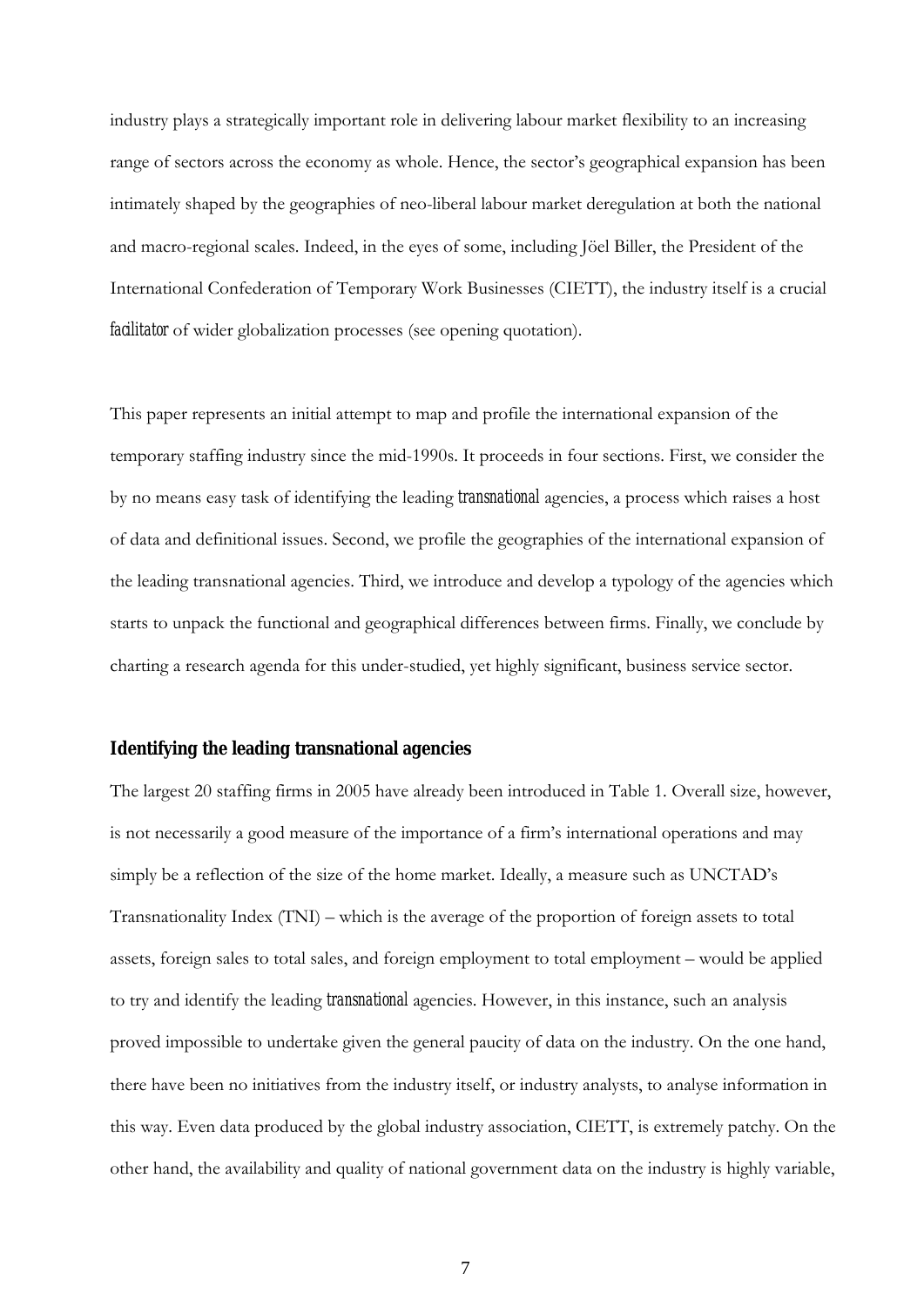industry plays a strategically important role in delivering labour market flexibility to an increasing range of sectors across the economy as whole. Hence, the sector's geographical expansion has been intimately shaped by the geographies of neo-liberal labour market deregulation at both the national and macro-regional scales. Indeed, in the eyes of some, including Jöel Biller, the President of the International Confederation of Temporary Work Businesses (CIETT), the industry itself is a crucial *facilitator* of wider globalization processes (see opening quotation).

This paper represents an initial attempt to map and profile the international expansion of the temporary staffing industry since the mid-1990s. It proceeds in four sections. First, we consider the by no means easy task of identifying the leading *transnational* agencies, a process which raises a host of data and definitional issues. Second, we profile the geographies of the international expansion of the leading transnational agencies. Third, we introduce and develop a typology of the agencies which starts to unpack the functional and geographical differences between firms. Finally, we conclude by charting a research agenda for this under-studied, yet highly significant, business service sector.

#### **Identifying the leading transnational agencies**

The largest 20 staffing firms in 2005 have already been introduced in Table 1. Overall size, however, is not necessarily a good measure of the importance of a firm's international operations and may simply be a reflection of the size of the home market. Ideally, a measure such as UNCTAD's Transnationality Index (TNI) – which is the average of the proportion of foreign assets to total assets, foreign sales to total sales, and foreign employment to total employment – would be applied to try and identify the leading *transnational* agencies. However, in this instance, such an analysis proved impossible to undertake given the general paucity of data on the industry. On the one hand, there have been no initiatives from the industry itself, or industry analysts, to analyse information in this way. Even data produced by the global industry association, CIETT, is extremely patchy. On the other hand, the availability and quality of national government data on the industry is highly variable,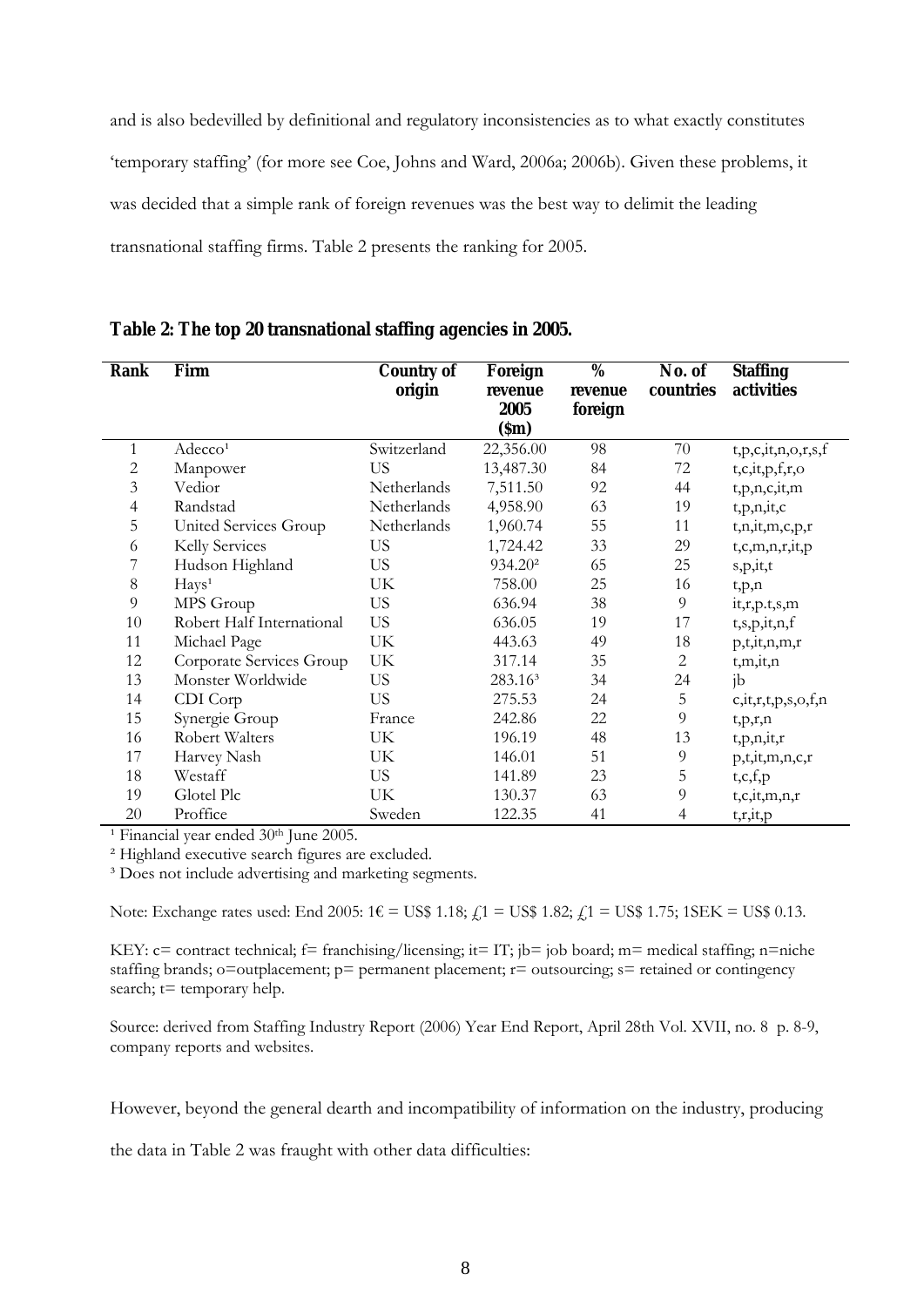and is also bedevilled by definitional and regulatory inconsistencies as to what exactly constitutes 'temporary staffing' (for more see Coe, Johns and Ward, 2006a; 2006b). Given these problems, it was decided that a simple rank of foreign revenues was the best way to delimit the leading transnational staffing firms. Table 2 presents the ranking for 2005.

| Table 2: The top 20 transnational staffing agencies in 2005. |  |
|--------------------------------------------------------------|--|
|--------------------------------------------------------------|--|

| Rank           | Firm                      | Country of  | Foreign             | $\overline{\%}$ | No. of         | <b>Staffing</b>            |
|----------------|---------------------------|-------------|---------------------|-----------------|----------------|----------------------------|
|                |                           | origin      | revenue             | revenue         | countries      | activities                 |
|                |                           |             | 2005                | foreign         |                |                            |
|                |                           |             | (Sm)                |                 |                |                            |
| 1              | Adecco <sup>1</sup>       | Switzerland | 22,356.00           | 98              | 70             | t, p, c, it, n, o, r, s, f |
| 2              | Manpower                  | <b>US</b>   | 13,487.30           | 84              | 72             | t,c,it,p,f,r,o             |
| $\overline{3}$ | Vedior                    | Netherlands | 7,511.50            | 92              | 44             | t,p,n,c,it,m               |
| $\overline{4}$ | Randstad                  | Netherlands | 4,958.90            | 63              | 19             | t,p,n,it,c                 |
| 5              | United Services Group     | Netherlands | 1,960.74            | 55              | 11             | t,n,it,m,c,p,r             |
| 6              | Kelly Services            | <b>US</b>   | 1,724.42            | 33              | 29             | t,c,m,n,r,it,p             |
| 7              | Hudson Highland           | <b>US</b>   | 934.20 <sup>2</sup> | 65              | 25             | s,p,it,t                   |
| 8              | Hays <sup>1</sup>         | UK          | 758.00              | 25              | 16             | t, p, n                    |
| 9              | MPS Group                 | <b>US</b>   | 636.94              | 38              | 9              | it,r,p.t,s,m               |
| 10             | Robert Half International | <b>US</b>   | 636.05              | 19              | 17             | t,s,p,it,n,f               |
| 11             | Michael Page              | UK          | 443.63              | 49              | 18             | p,t,it,n,m,r               |
| 12             | Corporate Services Group  | UK          | 317.14              | 35              | $\overline{c}$ | t,m,it,n                   |
| 13             | Monster Worldwide         | <b>US</b>   | 283.16 <sup>3</sup> | 34              | 24             | ib                         |
| 14             | CDI Corp                  | <b>US</b>   | 275.53              | 24              | 5              | c, it, r, t, p, s, o, f, n |
| 15             | Synergie Group            | France      | 242.86              | 22              | 9              | t,p,r,n                    |
| 16             | Robert Walters            | UK          | 196.19              | 48              | 13             | t,p,n,it,r                 |
| 17             | Harvey Nash               | UK          | 146.01              | 51              | 9              | p,t,it,m,n,c,r             |
| 18             | Westaff                   | <b>US</b>   | 141.89              | 23              | 5              | t,c,f,p                    |
| 19             | Glotel Plc                | UK          | 130.37              | 63              | 9              | t, c, it, m, n, r          |
| 20             | Proffice                  | Sweden      | 122.35              | 41              | 4              | t, r, it, p                |

<sup>1</sup> Financial year ended 30<sup>th</sup> June 2005.

² Highland executive search figures are excluded.

<sup>3</sup> Does not include advertising and marketing segments.

Note: Exchange rates used: End 2005: 1€ = US\$ 1.18;  $f_1$  = US\$ 1.82;  $f_1$  = US\$ 1.75; 1SEK = US\$ 0.13.

KEY: c= contract technical; f= franchising/licensing; it= IT; jb= job board; m= medical staffing; n=niche staffing brands; o=outplacement; p= permanent placement; r= outsourcing; s= retained or contingency search;  $t=$  temporary help.

Source: derived from Staffing Industry Report (2006) Year End Report, April 28th Vol. XVII, no. 8 p. 8-9, company reports and websites.

However, beyond the general dearth and incompatibility of information on the industry, producing

the data in Table 2 was fraught with other data difficulties: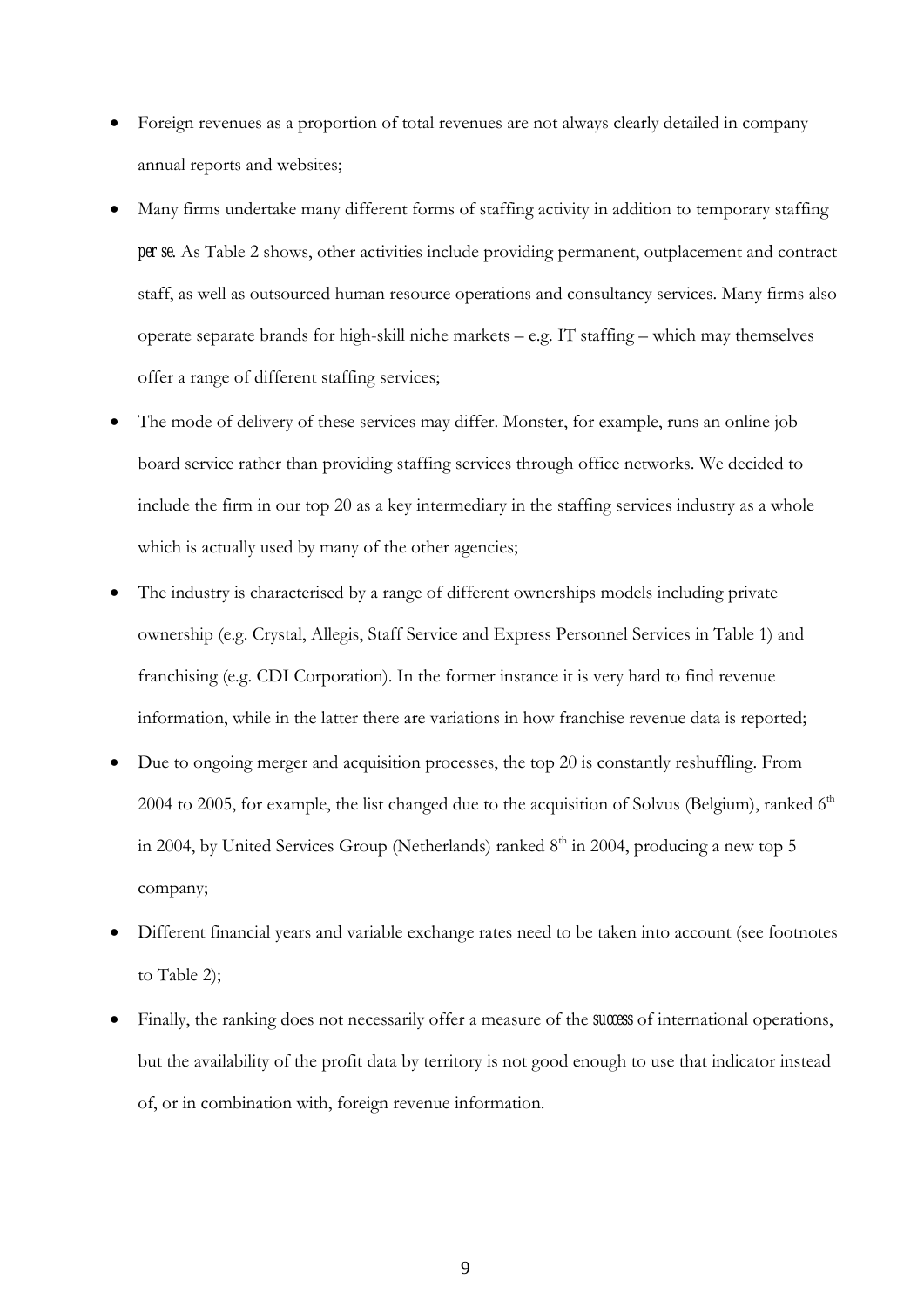- Foreign revenues as a proportion of total revenues are not always clearly detailed in company annual reports and websites;
- Many firms undertake many different forms of staffing activity in addition to temporary staffing *per se*. As Table 2 shows, other activities include providing permanent, outplacement and contract staff, as well as outsourced human resource operations and consultancy services. Many firms also operate separate brands for high-skill niche markets – e.g. IT staffing – which may themselves offer a range of different staffing services;
- The mode of delivery of these services may differ. Monster, for example, runs an online job board service rather than providing staffing services through office networks. We decided to include the firm in our top 20 as a key intermediary in the staffing services industry as a whole which is actually used by many of the other agencies;
- The industry is characterised by a range of different ownerships models including private ownership (e.g. Crystal, Allegis, Staff Service and Express Personnel Services in Table 1) and franchising (e.g. CDI Corporation). In the former instance it is very hard to find revenue information, while in the latter there are variations in how franchise revenue data is reported;
- Due to ongoing merger and acquisition processes, the top 20 is constantly reshuffling. From 2004 to 2005, for example, the list changed due to the acquisition of Solvus (Belgium), ranked  $6<sup>th</sup>$ in 2004, by United Services Group (Netherlands) ranked  $8<sup>th</sup>$  in 2004, producing a new top 5 company;
- Different financial years and variable exchange rates need to be taken into account (see footnotes to Table 2);
- Finally, the ranking does not necessarily offer a measure of the *success* of international operations, but the availability of the profit data by territory is not good enough to use that indicator instead of, or in combination with, foreign revenue information.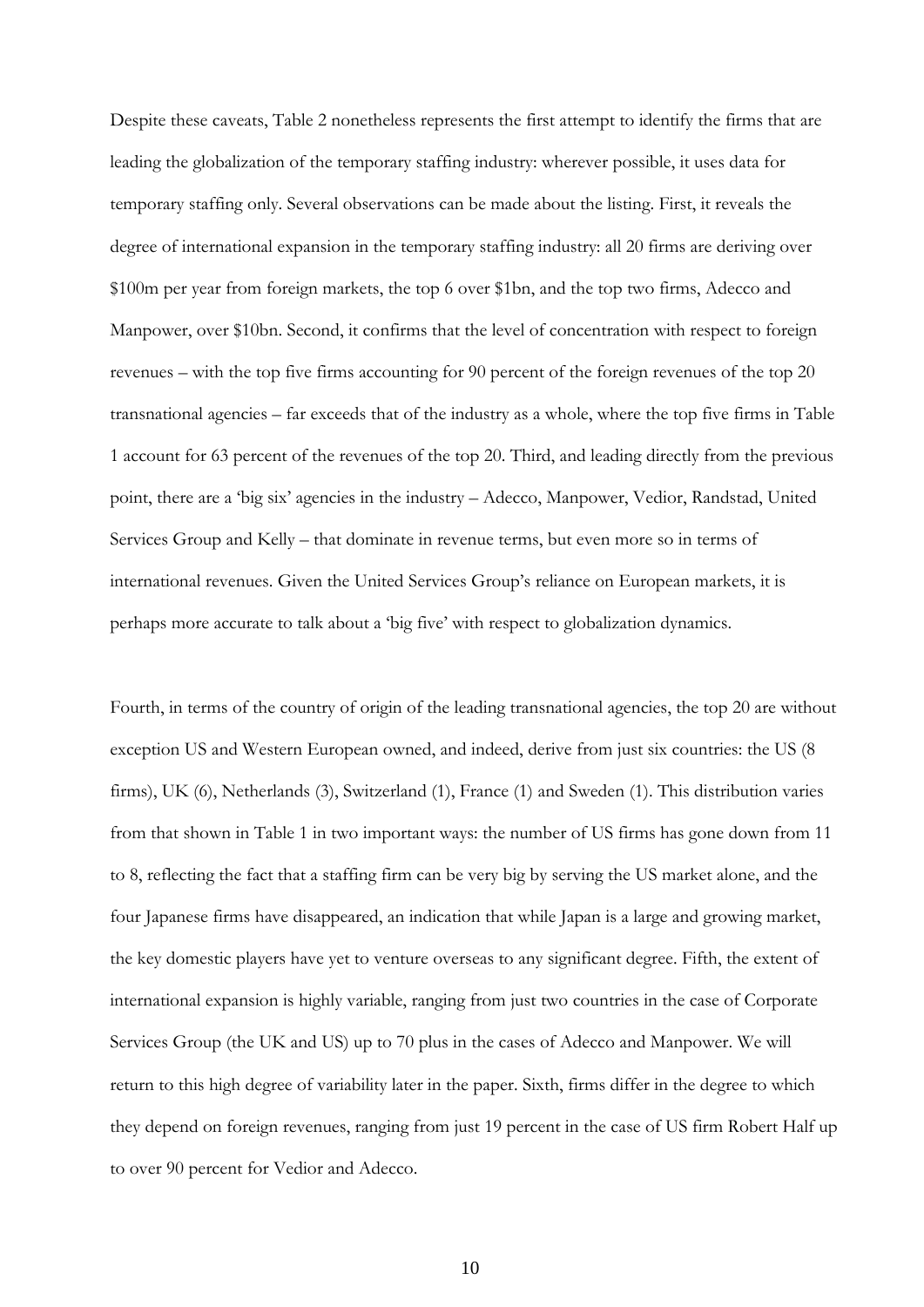Despite these caveats, Table 2 nonetheless represents the first attempt to identify the firms that are leading the globalization of the temporary staffing industry: wherever possible, it uses data for temporary staffing only. Several observations can be made about the listing. First, it reveals the degree of international expansion in the temporary staffing industry: all 20 firms are deriving over \$100m per year from foreign markets, the top 6 over \$1bn, and the top two firms, Adecco and Manpower, over \$10bn. Second, it confirms that the level of concentration with respect to foreign revenues – with the top five firms accounting for 90 percent of the foreign revenues of the top 20 transnational agencies – far exceeds that of the industry as a whole, where the top five firms in Table 1 account for 63 percent of the revenues of the top 20. Third, and leading directly from the previous point, there are a 'big six' agencies in the industry – Adecco, Manpower, Vedior, Randstad, United Services Group and Kelly – that dominate in revenue terms, but even more so in terms of international revenues. Given the United Services Group's reliance on European markets, it is perhaps more accurate to talk about a 'big five' with respect to globalization dynamics.

Fourth, in terms of the country of origin of the leading transnational agencies, the top 20 are without exception US and Western European owned, and indeed, derive from just six countries: the US (8 firms), UK (6), Netherlands (3), Switzerland (1), France (1) and Sweden (1). This distribution varies from that shown in Table 1 in two important ways: the number of US firms has gone down from 11 to 8, reflecting the fact that a staffing firm can be very big by serving the US market alone, and the four Japanese firms have disappeared, an indication that while Japan is a large and growing market, the key domestic players have yet to venture overseas to any significant degree. Fifth, the extent of international expansion is highly variable, ranging from just two countries in the case of Corporate Services Group (the UK and US) up to 70 plus in the cases of Adecco and Manpower. We will return to this high degree of variability later in the paper. Sixth, firms differ in the degree to which they depend on foreign revenues, ranging from just 19 percent in the case of US firm Robert Half up to over 90 percent for Vedior and Adecco.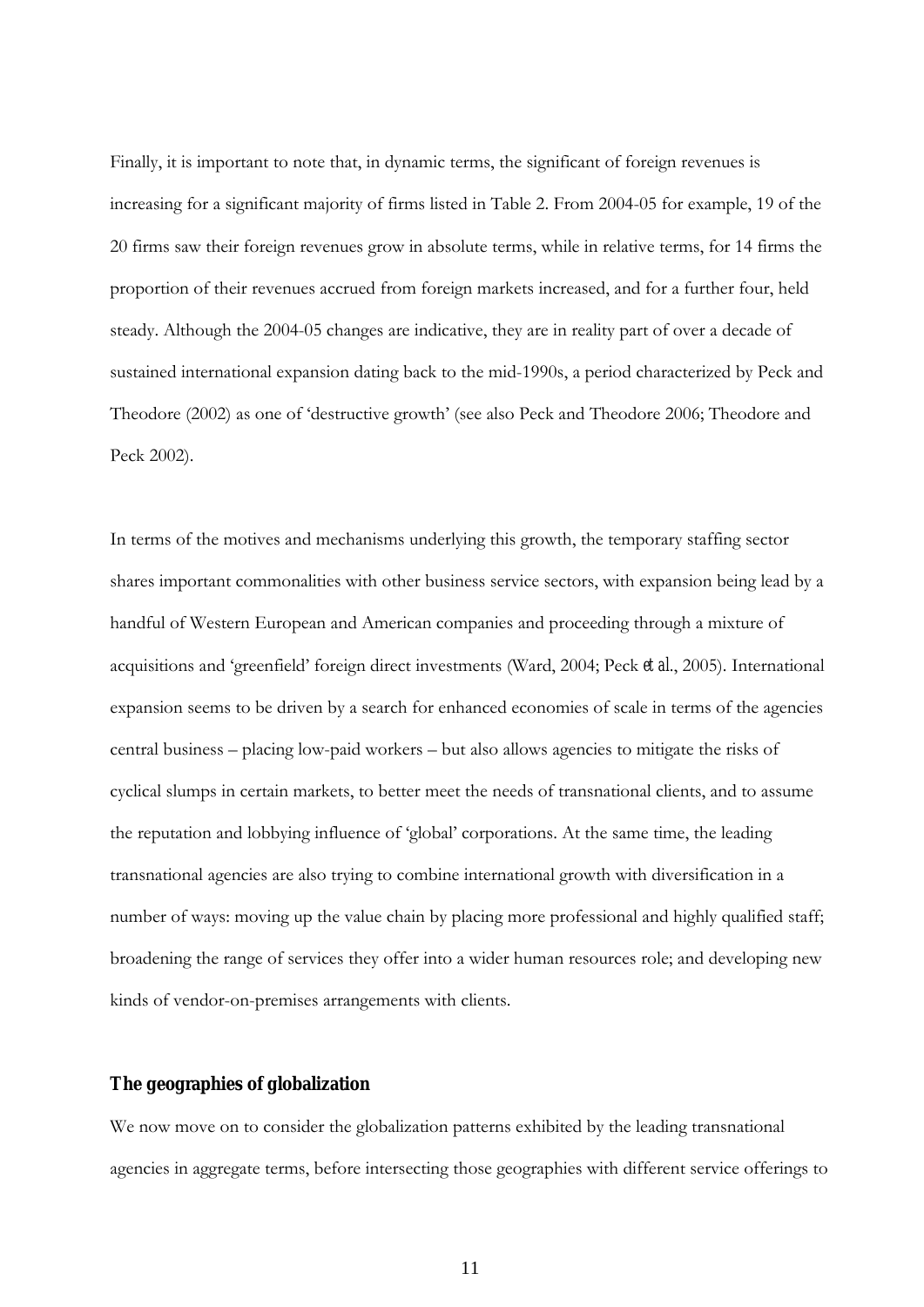Finally, it is important to note that, in dynamic terms, the significant of foreign revenues is increasing for a significant majority of firms listed in Table 2. From 2004-05 for example, 19 of the 20 firms saw their foreign revenues grow in absolute terms, while in relative terms, for 14 firms the proportion of their revenues accrued from foreign markets increased, and for a further four, held steady. Although the 2004-05 changes are indicative, they are in reality part of over a decade of sustained international expansion dating back to the mid-1990s, a period characterized by Peck and Theodore (2002) as one of 'destructive growth' (see also Peck and Theodore 2006; Theodore and Peck 2002).

In terms of the motives and mechanisms underlying this growth, the temporary staffing sector shares important commonalities with other business service sectors, with expansion being lead by a handful of Western European and American companies and proceeding through a mixture of acquisitions and 'greenfield' foreign direct investments (Ward, 2004; Peck *et al*., 2005). International expansion seems to be driven by a search for enhanced economies of scale in terms of the agencies central business – placing low-paid workers – but also allows agencies to mitigate the risks of cyclical slumps in certain markets, to better meet the needs of transnational clients, and to assume the reputation and lobbying influence of 'global' corporations. At the same time, the leading transnational agencies are also trying to combine international growth with diversification in a number of ways: moving up the value chain by placing more professional and highly qualified staff; broadening the range of services they offer into a wider human resources role; and developing new kinds of vendor-on-premises arrangements with clients.

#### **The geographies of globalization**

We now move on to consider the globalization patterns exhibited by the leading transnational agencies in aggregate terms, before intersecting those geographies with different service offerings to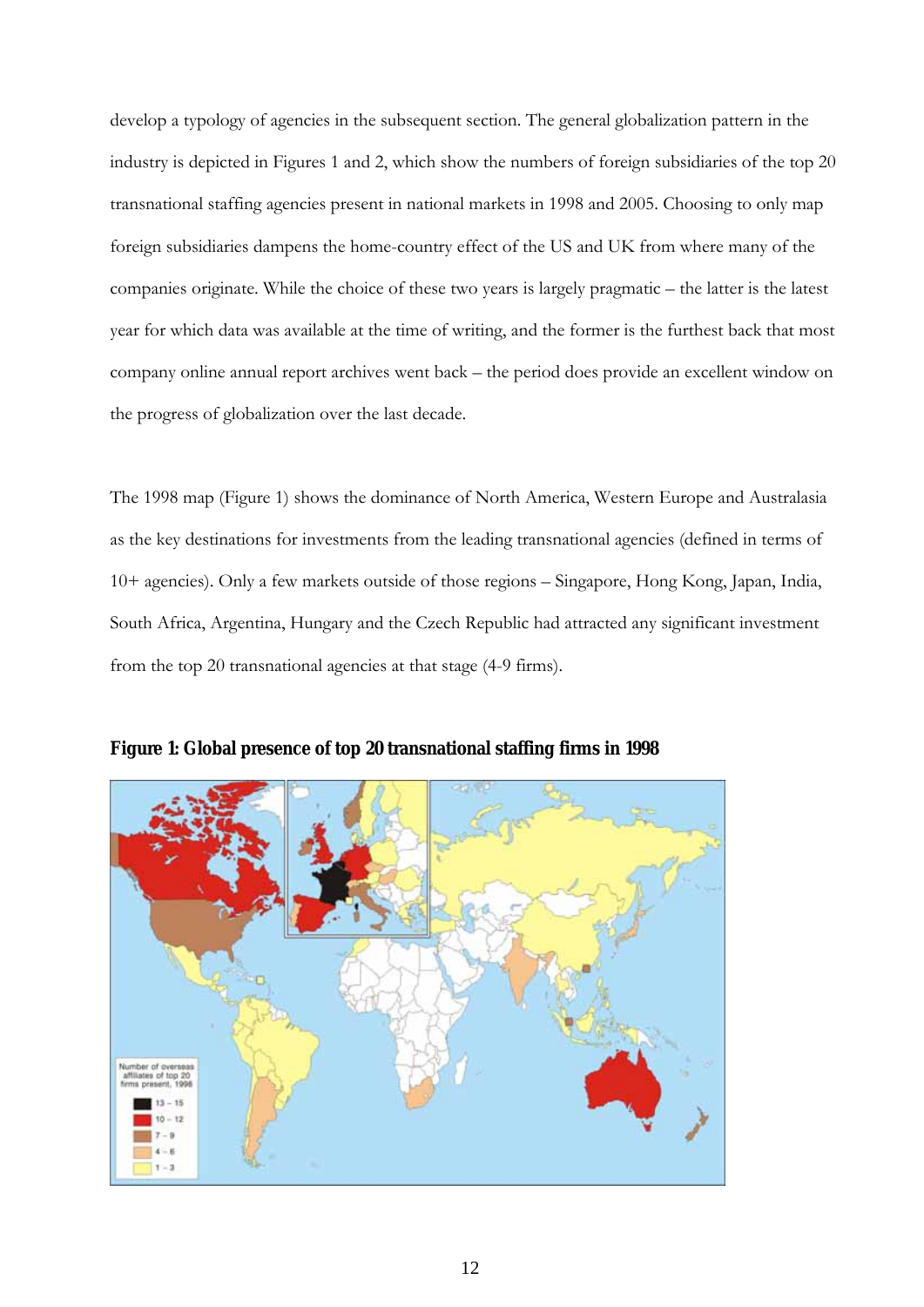develop a typology of agencies in the subsequent section. The general globalization pattern in the industry is depicted in Figures 1 and 2, which show the numbers of foreign subsidiaries of the top 20 transnational staffing agencies present in national markets in 1998 and 2005. Choosing to only map foreign subsidiaries dampens the home-country effect of the US and UK from where many of the companies originate. While the choice of these two years is largely pragmatic – the latter is the latest year for which data was available at the time of writing, and the former is the furthest back that most company online annual report archives went back – the period does provide an excellent window on the progress of globalization over the last decade.

The 1998 map (Figure 1) shows the dominance of North America, Western Europe and Australasia as the key destinations for investments from the leading transnational agencies (defined in terms of 10+ agencies). Only a few markets outside of those regions – Singapore, Hong Kong, Japan, India, South Africa, Argentina, Hungary and the Czech Republic had attracted any significant investment from the top 20 transnational agencies at that stage (4-9 firms).



**Figure 1: Global presence of top 20 transnational staffing firms in 1998**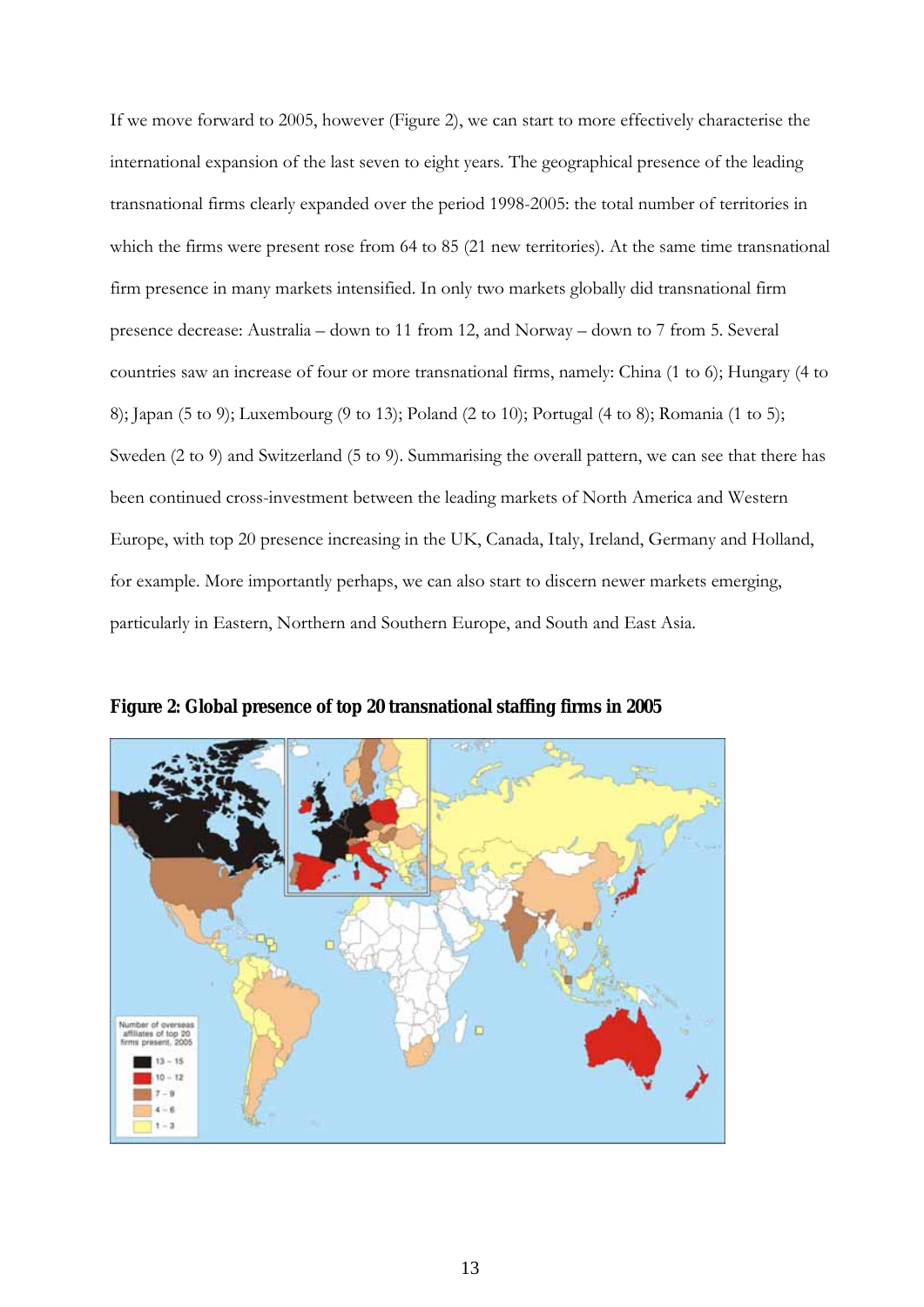If we move forward to 2005, however (Figure 2), we can start to more effectively characterise the international expansion of the last seven to eight years. The geographical presence of the leading transnational firms clearly expanded over the period 1998-2005: the total number of territories in which the firms were present rose from 64 to 85 (21 new territories). At the same time transnational firm presence in many markets intensified. In only two markets globally did transnational firm presence decrease: Australia – down to 11 from 12, and Norway – down to 7 from 5. Several countries saw an increase of four or more transnational firms, namely: China (1 to 6); Hungary (4 to 8); Japan (5 to 9); Luxembourg (9 to 13); Poland (2 to 10); Portugal (4 to 8); Romania (1 to 5); Sweden (2 to 9) and Switzerland (5 to 9). Summarising the overall pattern, we can see that there has been continued cross-investment between the leading markets of North America and Western Europe, with top 20 presence increasing in the UK, Canada, Italy, Ireland, Germany and Holland, for example. More importantly perhaps, we can also start to discern newer markets emerging, particularly in Eastern, Northern and Southern Europe, and South and East Asia.



**Figure 2: Global presence of top 20 transnational staffing firms in 2005**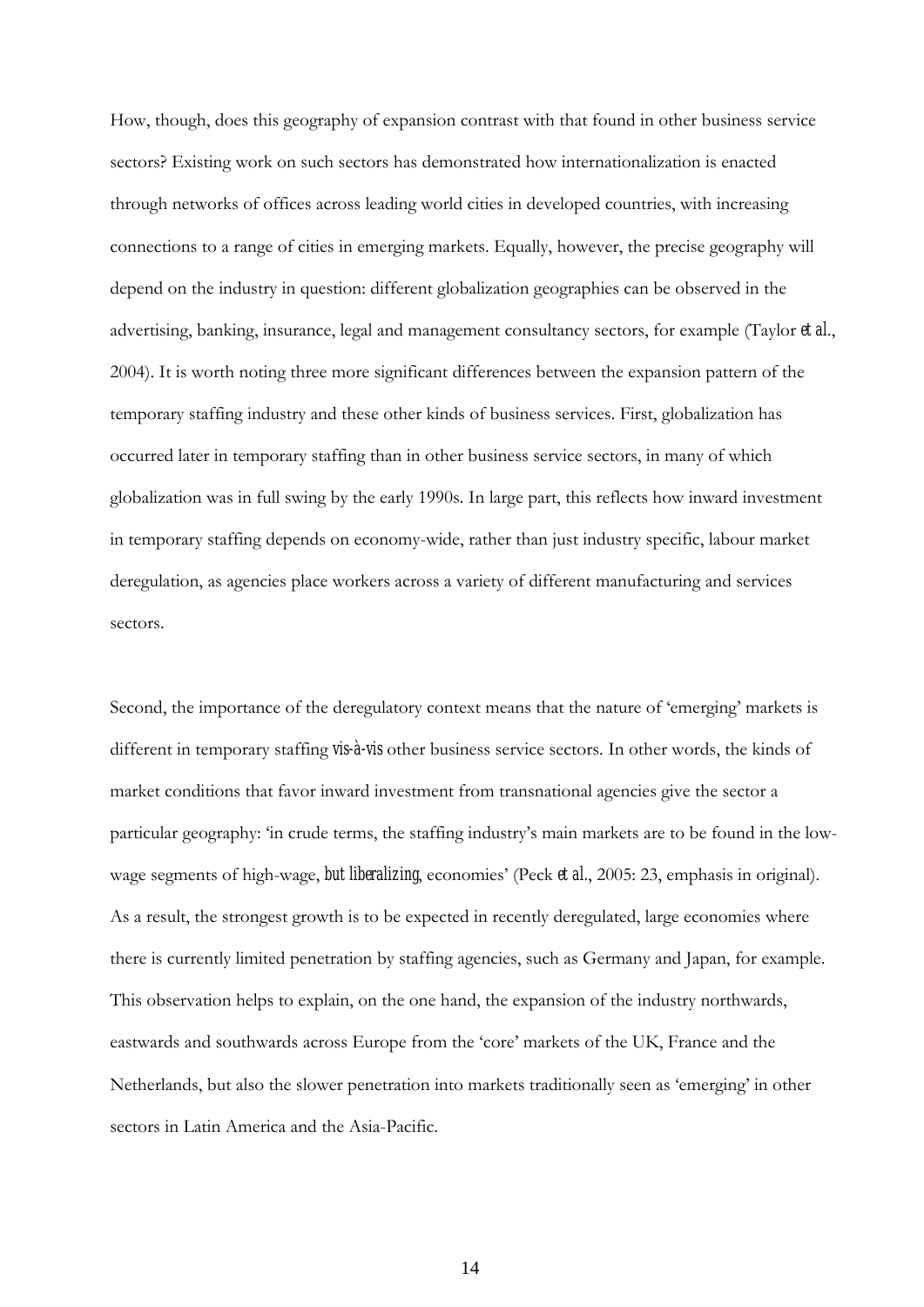How, though, does this geography of expansion contrast with that found in other business service sectors? Existing work on such sectors has demonstrated how internationalization is enacted through networks of offices across leading world cities in developed countries, with increasing connections to a range of cities in emerging markets. Equally, however, the precise geography will depend on the industry in question: different globalization geographies can be observed in the advertising, banking, insurance, legal and management consultancy sectors, for example (Taylor *et al*., 2004). It is worth noting three more significant differences between the expansion pattern of the temporary staffing industry and these other kinds of business services. First, globalization has occurred later in temporary staffing than in other business service sectors, in many of which globalization was in full swing by the early 1990s. In large part, this reflects how inward investment in temporary staffing depends on economy-wide, rather than just industry specific, labour market deregulation, as agencies place workers across a variety of different manufacturing and services sectors.

Second, the importance of the deregulatory context means that the nature of 'emerging' markets is different in temporary staffing *vis-à-vis* other business service sectors. In other words, the kinds of market conditions that favor inward investment from transnational agencies give the sector a particular geography: 'in crude terms, the staffing industry's main markets are to be found in the lowwage segments of high-wage, *but liberalizing*, economies' (Peck *et al.*, 2005: 23, emphasis in original). As a result, the strongest growth is to be expected in recently deregulated, large economies where there is currently limited penetration by staffing agencies, such as Germany and Japan, for example. This observation helps to explain, on the one hand, the expansion of the industry northwards, eastwards and southwards across Europe from the 'core' markets of the UK, France and the Netherlands, but also the slower penetration into markets traditionally seen as 'emerging' in other sectors in Latin America and the Asia-Pacific.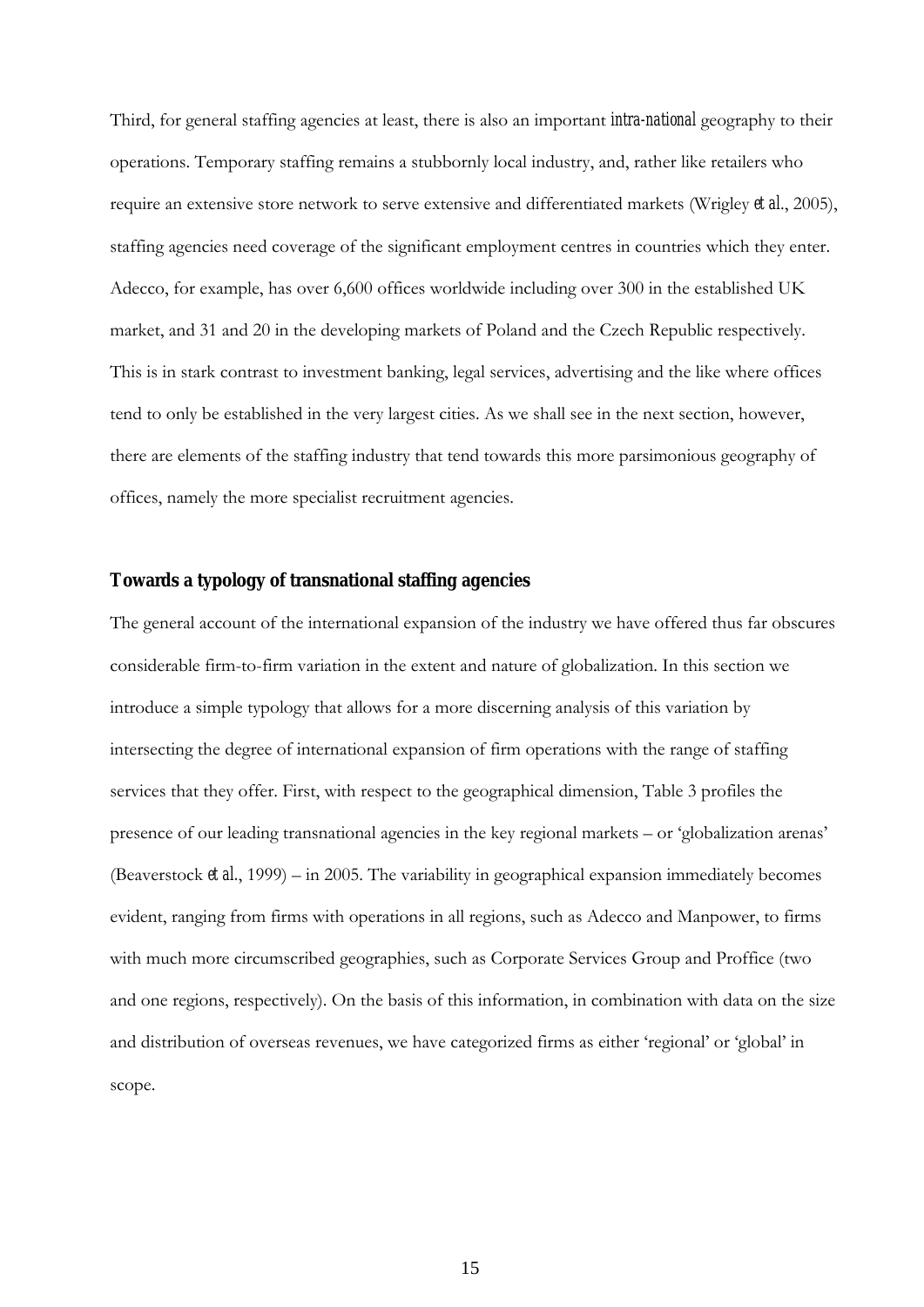Third, for general staffing agencies at least, there is also an important *intra-national* geography to their operations. Temporary staffing remains a stubbornly local industry, and, rather like retailers who require an extensive store network to serve extensive and differentiated markets (Wrigley *et al*., 2005), staffing agencies need coverage of the significant employment centres in countries which they enter. Adecco, for example, has over 6,600 offices worldwide including over 300 in the established UK market, and 31 and 20 in the developing markets of Poland and the Czech Republic respectively. This is in stark contrast to investment banking, legal services, advertising and the like where offices tend to only be established in the very largest cities. As we shall see in the next section, however, there are elements of the staffing industry that tend towards this more parsimonious geography of offices, namely the more specialist recruitment agencies.

#### **Towards a typology of transnational staffing agencies**

The general account of the international expansion of the industry we have offered thus far obscures considerable firm-to-firm variation in the extent and nature of globalization. In this section we introduce a simple typology that allows for a more discerning analysis of this variation by intersecting the degree of international expansion of firm operations with the range of staffing services that they offer. First, with respect to the geographical dimension, Table 3 profiles the presence of our leading transnational agencies in the key regional markets – or 'globalization arenas' (Beaverstock *et al.*, 1999) – in 2005. The variability in geographical expansion immediately becomes evident, ranging from firms with operations in all regions, such as Adecco and Manpower, to firms with much more circumscribed geographies, such as Corporate Services Group and Proffice (two and one regions, respectively). On the basis of this information, in combination with data on the size and distribution of overseas revenues, we have categorized firms as either 'regional' or 'global' in scope.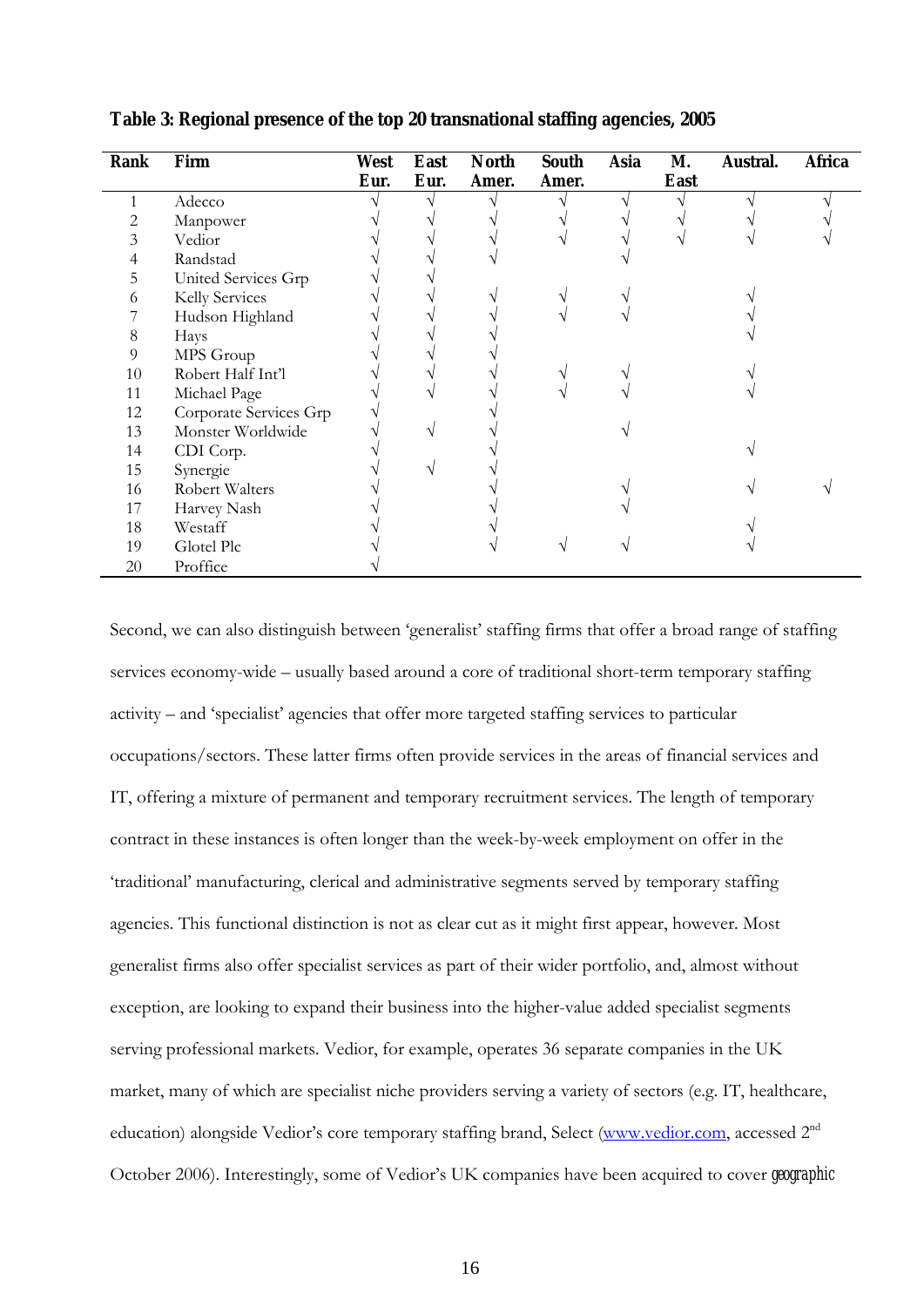| Rank | Firm                   | West | East | <b>North</b> | South | Asia | М.   | Austral. | Africa |
|------|------------------------|------|------|--------------|-------|------|------|----------|--------|
|      |                        | Eur. | Eur. | Amer.        | Amer. |      | East |          |        |
|      | Adecco                 |      |      |              |       |      |      |          |        |
|      | Manpower               |      |      |              |       |      |      |          |        |
| 3    | Vedior                 |      |      |              |       |      |      |          |        |
| 4    | Randstad               |      |      |              |       |      |      |          |        |
| 5    | United Services Grp    |      |      |              |       |      |      |          |        |
| 6    | Kelly Services         |      |      |              |       |      |      |          |        |
|      | Hudson Highland        |      |      |              |       |      |      |          |        |
| 8    | Hays                   |      |      |              |       |      |      |          |        |
| 9    | MPS Group              |      |      |              |       |      |      |          |        |
| 10   | Robert Half Int'l      |      |      |              |       |      |      |          |        |
| 11   | Michael Page           |      |      |              |       |      |      |          |        |
| 12   | Corporate Services Grp |      |      |              |       |      |      |          |        |
| 13   | Monster Worldwide      |      |      |              |       |      |      |          |        |
| 14   | CDI Corp.              |      |      |              |       |      |      |          |        |
| 15   | Synergie               |      |      |              |       |      |      |          |        |
| 16   | Robert Walters         |      |      |              |       |      |      |          |        |
| 17   | Harvey Nash            |      |      |              |       |      |      |          |        |
| 18   | Westaff                |      |      |              |       |      |      |          |        |
| 19   | Glotel Plc             |      |      |              |       |      |      |          |        |
| 20   | Proffice               |      |      |              |       |      |      |          |        |

**Table 3: Regional presence of the top 20 transnational staffing agencies, 2005** 

Second, we can also distinguish between 'generalist' staffing firms that offer a broad range of staffing services economy-wide – usually based around a core of traditional short-term temporary staffing activity – and 'specialist' agencies that offer more targeted staffing services to particular occupations/sectors. These latter firms often provide services in the areas of financial services and IT, offering a mixture of permanent and temporary recruitment services. The length of temporary contract in these instances is often longer than the week-by-week employment on offer in the 'traditional' manufacturing, clerical and administrative segments served by temporary staffing agencies. This functional distinction is not as clear cut as it might first appear, however. Most generalist firms also offer specialist services as part of their wider portfolio, and, almost without exception, are looking to expand their business into the higher-value added specialist segments serving professional markets. Vedior, for example, operates 36 separate companies in the UK market, many of which are specialist niche providers serving a variety of sectors (e.g. IT, healthcare, education) alongside Vedior's core temporary staffing brand, Select ([www.vedior.com](http://www.vedior.com/), accessed 2<sup>nd</sup> October 2006). Interestingly, some of Vedior's UK companies have been acquired to cover *geographic*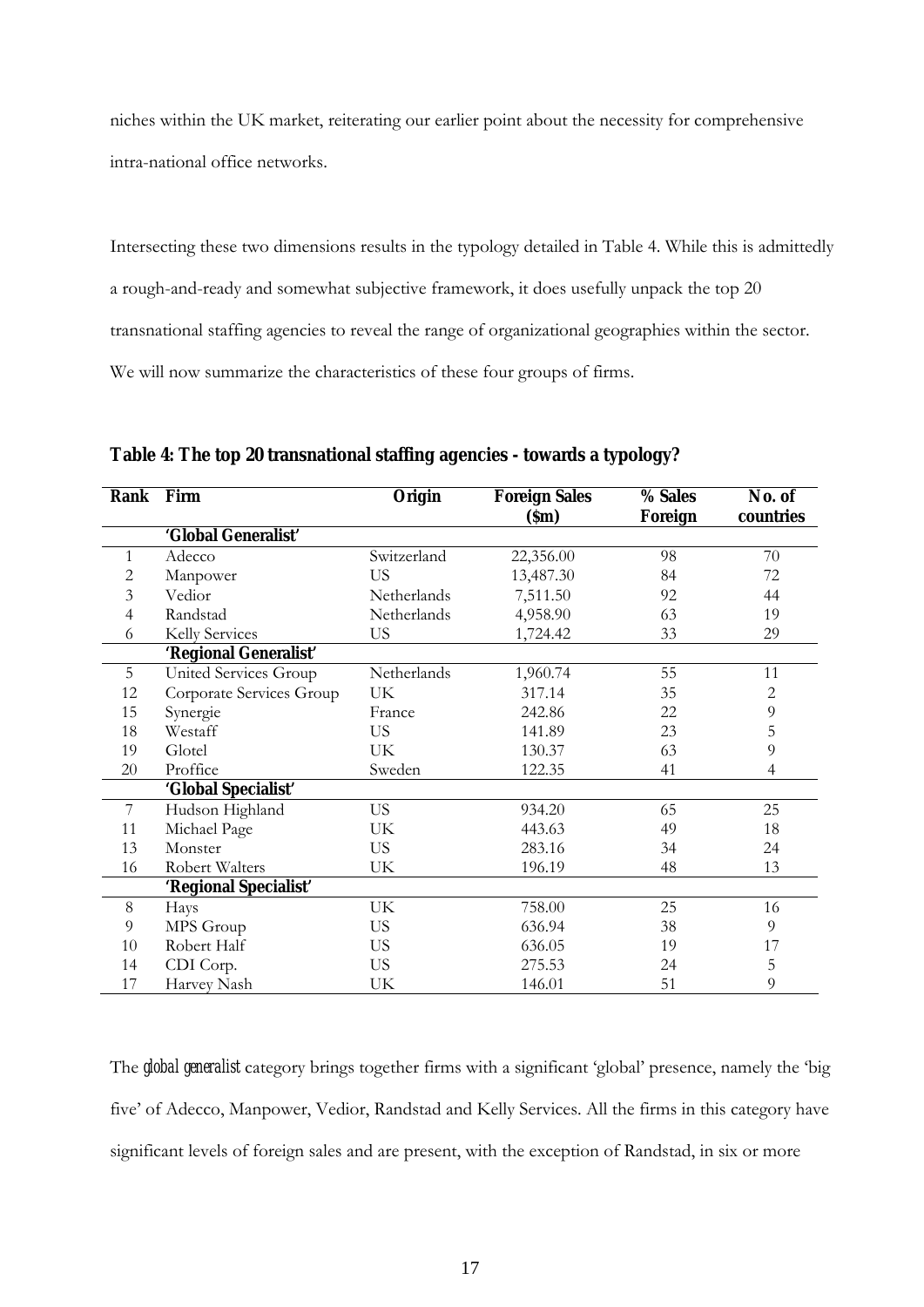niches within the UK market, reiterating our earlier point about the necessity for comprehensive intra-national office networks.

Intersecting these two dimensions results in the typology detailed in Table 4. While this is admittedly a rough-and-ready and somewhat subjective framework, it does usefully unpack the top 20 transnational staffing agencies to reveal the range of organizational geographies within the sector. We will now summarize the characteristics of these four groups of firms.

| Rank           | Firm                     | Origin      | <b>Foreign Sales</b> | % Sales | No. of         |
|----------------|--------------------------|-------------|----------------------|---------|----------------|
|                |                          |             | (Sm)                 | Foreign | countries      |
|                | 'Global Generalist'      |             |                      |         |                |
| 1              | Adecco                   | Switzerland | 22,356.00            | 98      | 70             |
| 2              | Manpower                 | US.         | 13,487.30            | 84      | 72             |
| 3              | Vedior                   | Netherlands | 7,511.50             | 92      | 44             |
| $\overline{4}$ | Randstad                 | Netherlands | 4,958.90             | 63      | 19             |
| 6              | Kelly Services           | US.         | 1,724.42             | 33      | 29             |
|                | 'Regional Generalist'    |             |                      |         |                |
| 5              | United Services Group    | Netherlands | 1,960.74             | 55      | 11             |
| 12             | Corporate Services Group | UK          | 317.14               | 35      | $\overline{c}$ |
| 15             | Synergie                 | France      | 242.86               | 22      | $\overline{9}$ |
| 18             | Westaff                  | US.         | 141.89               | 23      | 5              |
| 19             | Glotel                   | UK          | 130.37               | 63      | 9              |
| 20             | Proffice                 | Sweden      | 122.35               | 41      | 4              |
|                | 'Global Specialist'      |             |                      |         |                |
| 7              | Hudson Highland          | US.         | 934.20               | 65      | 25             |
| 11             | Michael Page             | UK          | 443.63               | 49      | 18             |
| 13             | Monster                  | US.         | 283.16               | 34      | 24             |
| 16             | Robert Walters           | UK          | 196.19               | 48      | 13             |
|                | 'Regional Specialist'    |             |                      |         |                |
| $\,8\,$        | Hays                     | UK          | 758.00               | 25      | 16             |
| 9              | MPS Group                | US.         | 636.94               | 38      | 9              |
| 10             | Robert Half              | US.         | 636.05               | 19      | 17             |
| 14             | CDI Corp.                | US.         | 275.53               | 24      | 5              |
| 17             | Harvey Nash              | UK          | 146.01               | 51      | 9              |

**Table 4: The top 20 transnational staffing agencies - towards a typology?** 

The *global generalist* category brings together firms with a significant 'global' presence, namely the 'big five' of Adecco, Manpower, Vedior, Randstad and Kelly Services. All the firms in this category have significant levels of foreign sales and are present, with the exception of Randstad, in six or more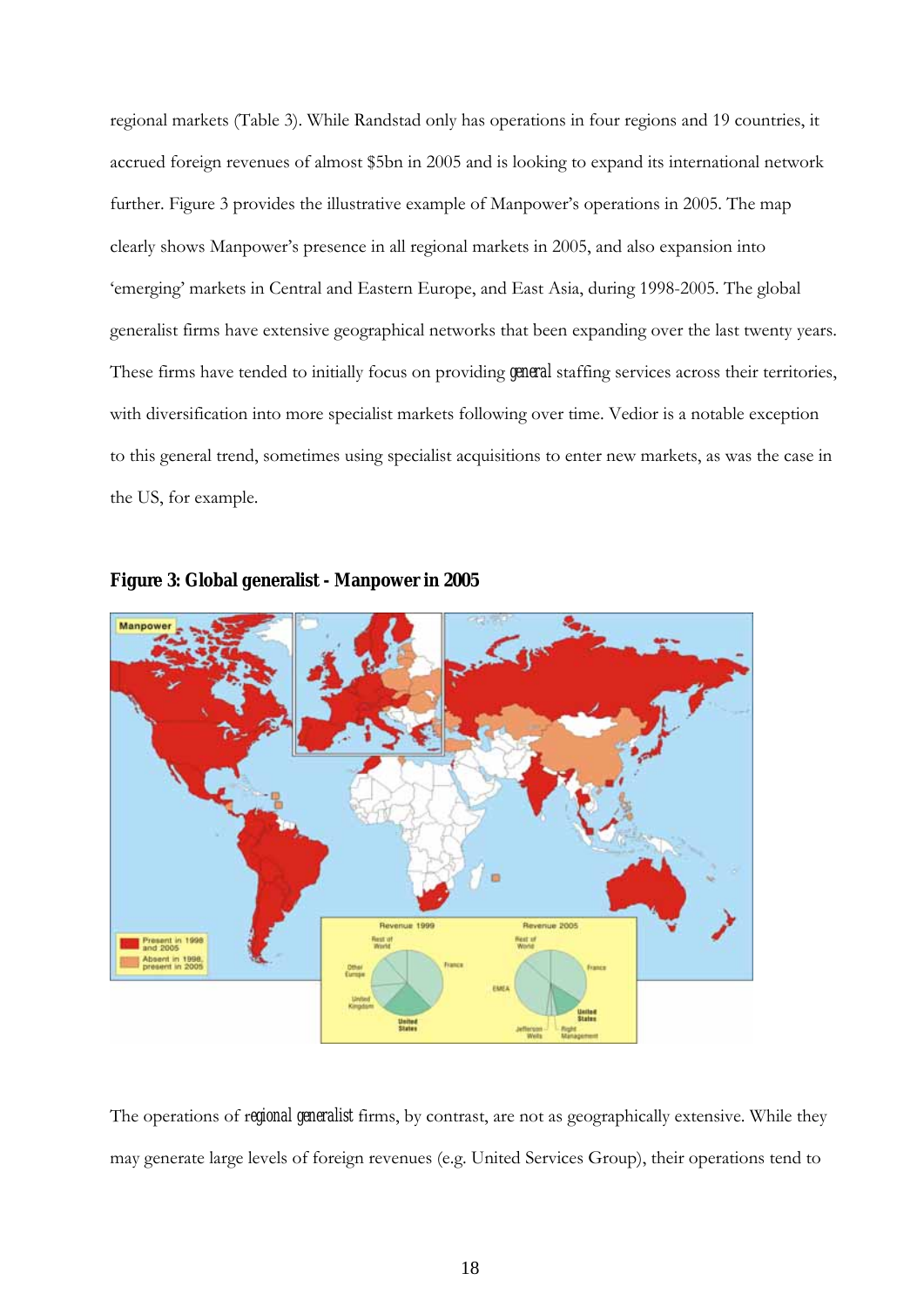regional markets (Table 3). While Randstad only has operations in four regions and 19 countries, it accrued foreign revenues of almost \$5bn in 2005 and is looking to expand its international network further. Figure 3 provides the illustrative example of Manpower's operations in 2005. The map clearly shows Manpower's presence in all regional markets in 2005, and also expansion into 'emerging' markets in Central and Eastern Europe, and East Asia, during 1998-2005. The global generalist firms have extensive geographical networks that been expanding over the last twenty years. These firms have tended to initially focus on providing *general* staffing services across their territories, with diversification into more specialist markets following over time. Vedior is a notable exception to this general trend, sometimes using specialist acquisitions to enter new markets, as was the case in the US, for example.





The operations of r*egional generalist* firms, by contrast, are not as geographically extensive. While they may generate large levels of foreign revenues (e.g. United Services Group), their operations tend to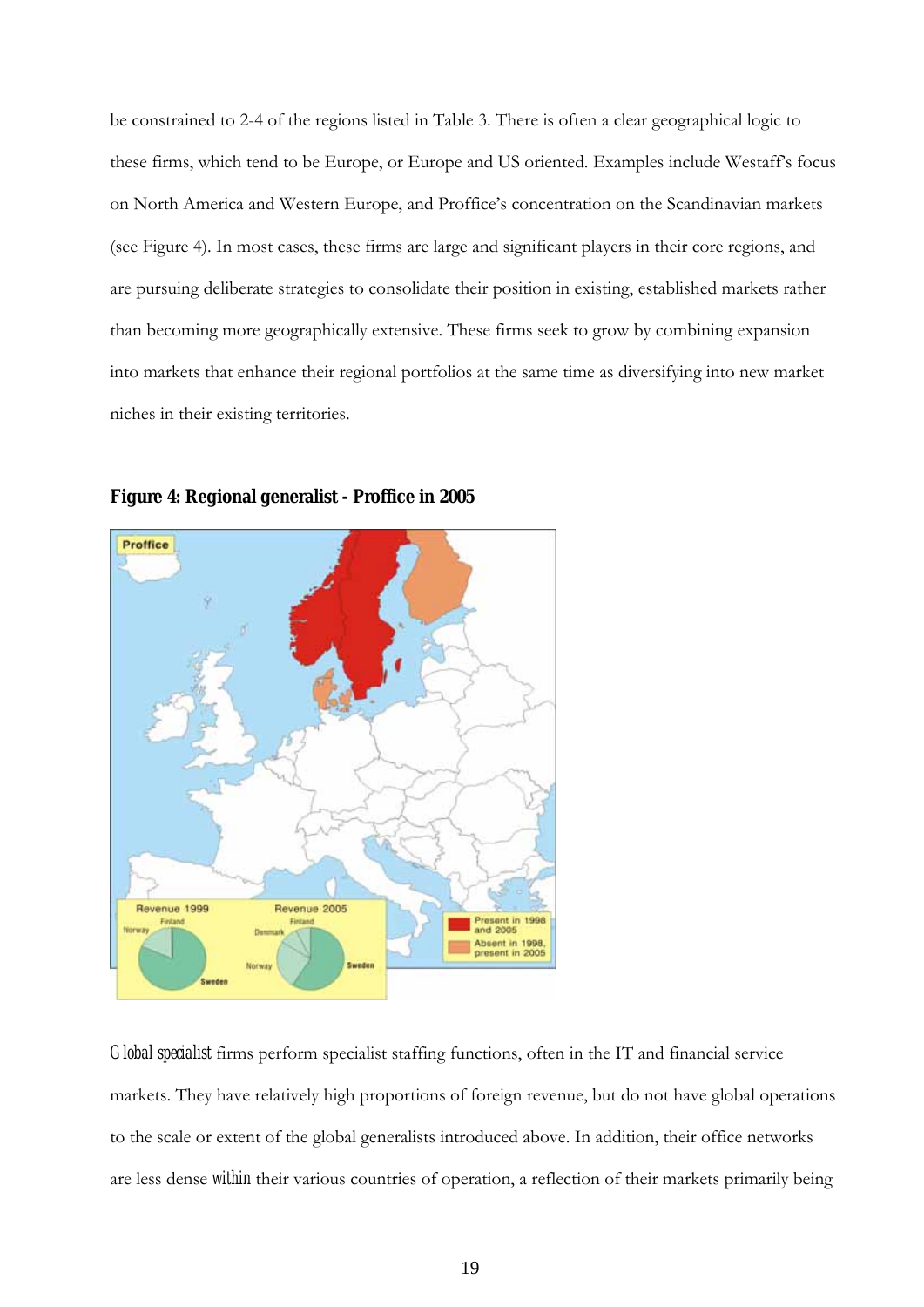be constrained to 2-4 of the regions listed in Table 3. There is often a clear geographical logic to these firms, which tend to be Europe, or Europe and US oriented. Examples include Westaff's focus on North America and Western Europe, and Proffice's concentration on the Scandinavian markets (see Figure 4). In most cases, these firms are large and significant players in their core regions, and are pursuing deliberate strategies to consolidate their position in existing, established markets rather than becoming more geographically extensive. These firms seek to grow by combining expansion into markets that enhance their regional portfolios at the same time as diversifying into new market niches in their existing territories.





*Global specialist* firms perform specialist staffing functions, often in the IT and financial service markets. They have relatively high proportions of foreign revenue, but do not have global operations to the scale or extent of the global generalists introduced above. In addition, their office networks are less dense *within* their various countries of operation, a reflection of their markets primarily being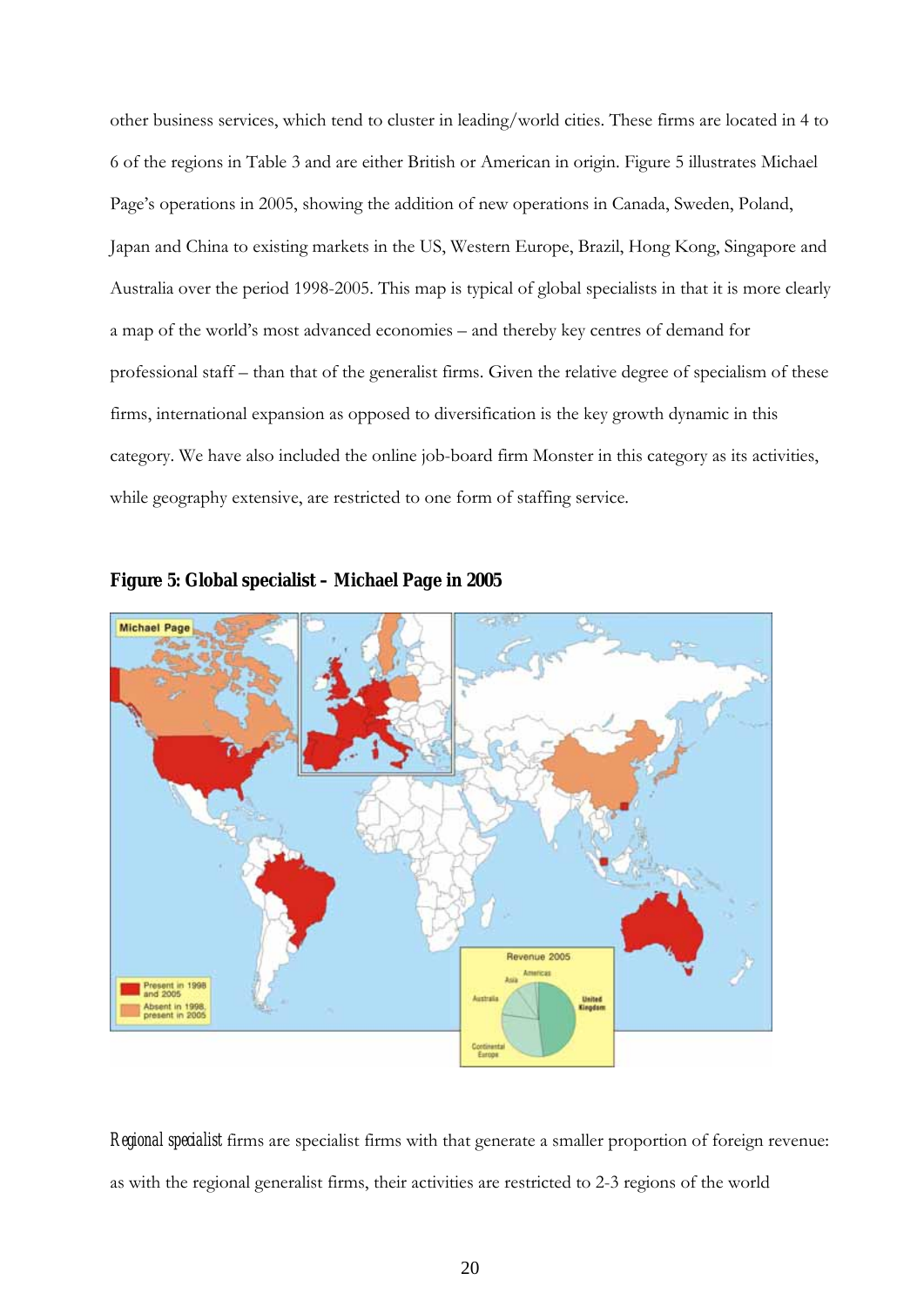other business services, which tend to cluster in leading/world cities. These firms are located in 4 to 6 of the regions in Table 3 and are either British or American in origin. Figure 5 illustrates Michael Page's operations in 2005, showing the addition of new operations in Canada, Sweden, Poland, Japan and China to existing markets in the US, Western Europe, Brazil, Hong Kong, Singapore and Australia over the period 1998-2005. This map is typical of global specialists in that it is more clearly a map of the world's most advanced economies – and thereby key centres of demand for professional staff – than that of the generalist firms. Given the relative degree of specialism of these firms, international expansion as opposed to diversification is the key growth dynamic in this category. We have also included the online job-board firm Monster in this category as its activities, while geography extensive, are restricted to one form of staffing service.



#### **Figure 5: Global specialist – Michael Page in 2005**

*Regional specialist* firms are specialist firms with that generate a smaller proportion of foreign revenue: as with the regional generalist firms, their activities are restricted to 2-3 regions of the world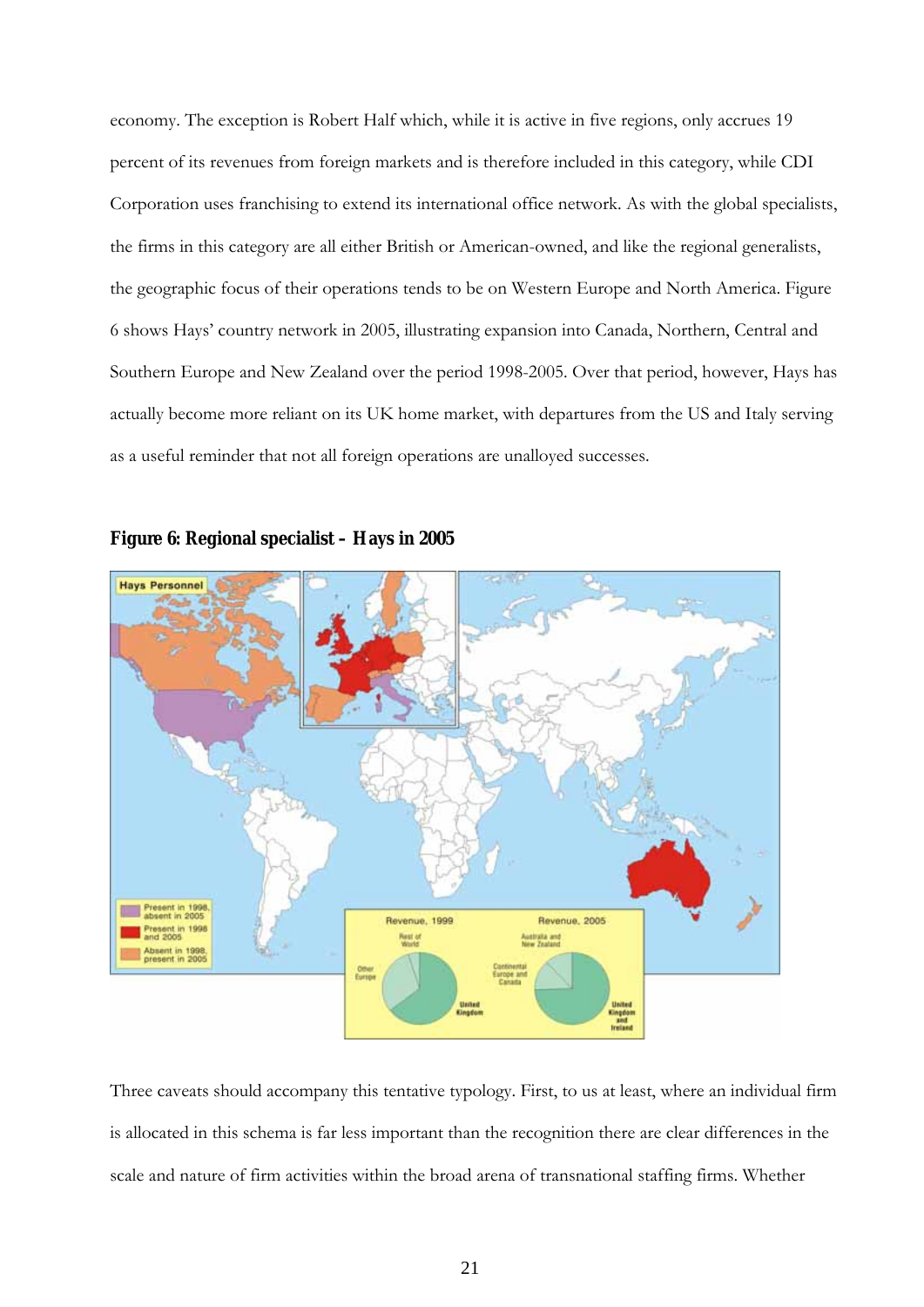economy. The exception is Robert Half which, while it is active in five regions, only accrues 19 percent of its revenues from foreign markets and is therefore included in this category, while CDI Corporation uses franchising to extend its international office network. As with the global specialists, the firms in this category are all either British or American-owned, and like the regional generalists, the geographic focus of their operations tends to be on Western Europe and North America. Figure 6 shows Hays' country network in 2005, illustrating expansion into Canada, Northern, Central and Southern Europe and New Zealand over the period 1998-2005. Over that period, however, Hays has actually become more reliant on its UK home market, with departures from the US and Italy serving as a useful reminder that not all foreign operations are unalloyed successes.



#### **Figure 6: Regional specialist – Hays in 2005**

Three caveats should accompany this tentative typology. First, to us at least, where an individual firm is allocated in this schema is far less important than the recognition there are clear differences in the scale and nature of firm activities within the broad arena of transnational staffing firms. Whether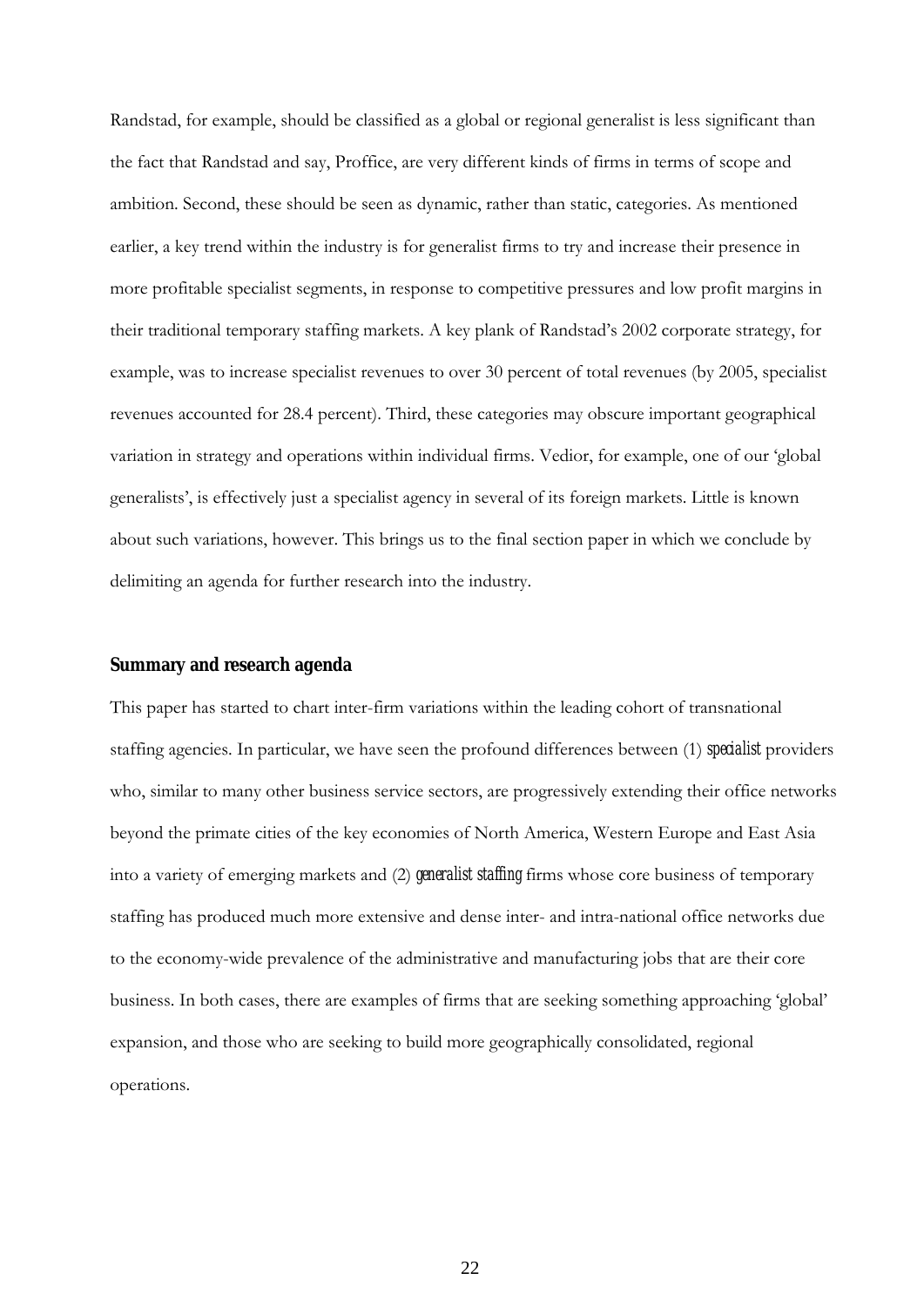Randstad, for example, should be classified as a global or regional generalist is less significant than the fact that Randstad and say, Proffice, are very different kinds of firms in terms of scope and ambition. Second, these should be seen as dynamic, rather than static, categories. As mentioned earlier, a key trend within the industry is for generalist firms to try and increase their presence in more profitable specialist segments, in response to competitive pressures and low profit margins in their traditional temporary staffing markets. A key plank of Randstad's 2002 corporate strategy, for example, was to increase specialist revenues to over 30 percent of total revenues (by 2005, specialist revenues accounted for 28.4 percent). Third, these categories may obscure important geographical variation in strategy and operations within individual firms. Vedior, for example, one of our 'global generalists', is effectively just a specialist agency in several of its foreign markets. Little is known about such variations, however. This brings us to the final section paper in which we conclude by delimiting an agenda for further research into the industry.

#### **Summary and research agenda**

This paper has started to chart inter-firm variations within the leading cohort of transnational staffing agencies. In particular, we have seen the profound differences between (1) *specialist* providers who, similar to many other business service sectors, are progressively extending their office networks beyond the primate cities of the key economies of North America, Western Europe and East Asia into a variety of emerging markets and (2) *generalist staffing* firms whose core business of temporary staffing has produced much more extensive and dense inter- and intra-national office networks due to the economy-wide prevalence of the administrative and manufacturing jobs that are their core business. In both cases, there are examples of firms that are seeking something approaching 'global' expansion, and those who are seeking to build more geographically consolidated, regional operations.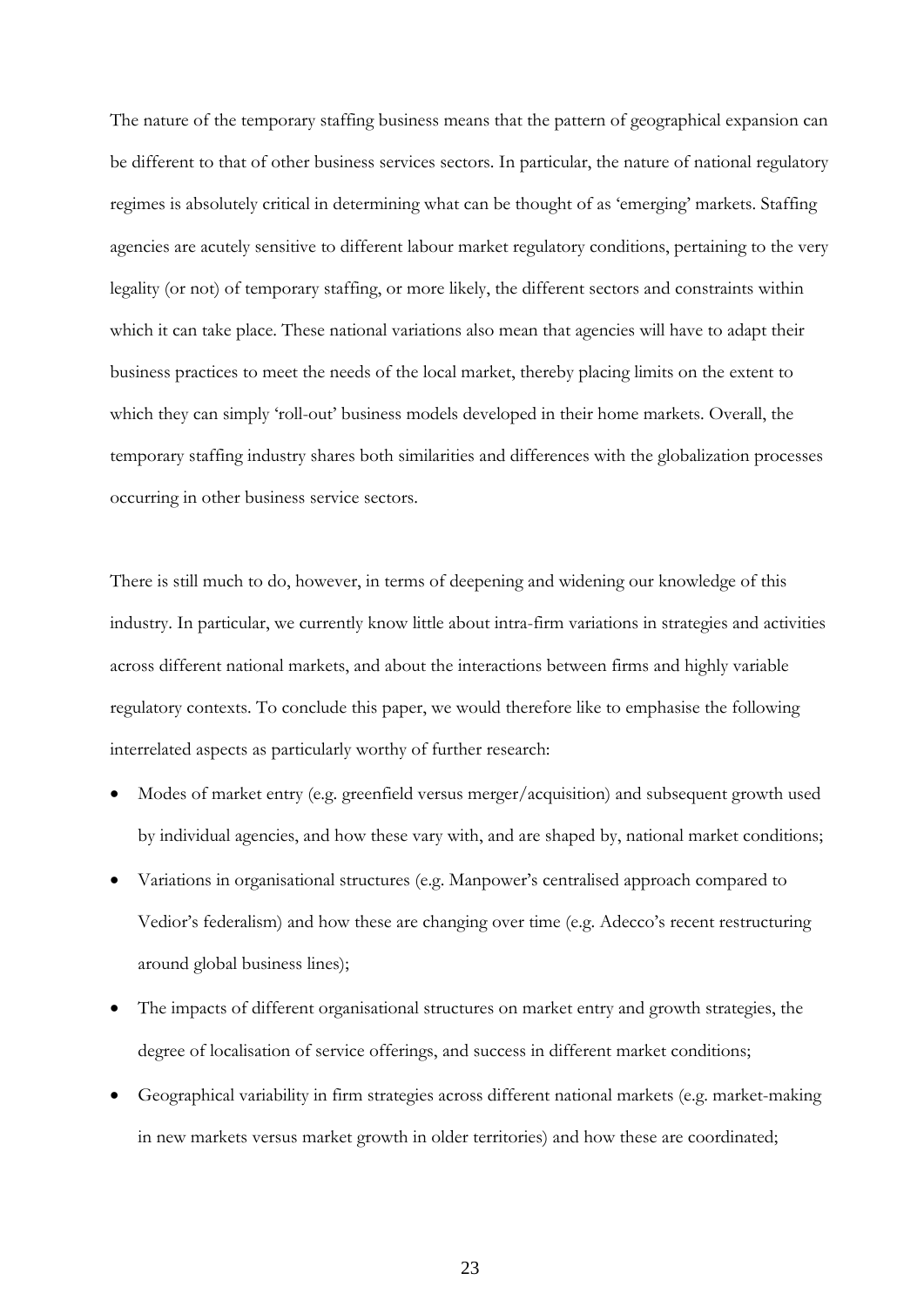The nature of the temporary staffing business means that the pattern of geographical expansion can be different to that of other business services sectors. In particular, the nature of national regulatory regimes is absolutely critical in determining what can be thought of as 'emerging' markets. Staffing agencies are acutely sensitive to different labour market regulatory conditions, pertaining to the very legality (or not) of temporary staffing, or more likely, the different sectors and constraints within which it can take place. These national variations also mean that agencies will have to adapt their business practices to meet the needs of the local market, thereby placing limits on the extent to which they can simply 'roll-out' business models developed in their home markets. Overall, the temporary staffing industry shares both similarities and differences with the globalization processes occurring in other business service sectors.

There is still much to do, however, in terms of deepening and widening our knowledge of this industry. In particular, we currently know little about intra-firm variations in strategies and activities across different national markets, and about the interactions between firms and highly variable regulatory contexts. To conclude this paper, we would therefore like to emphasise the following interrelated aspects as particularly worthy of further research:

- Modes of market entry (e.g. greenfield versus merger/acquisition) and subsequent growth used by individual agencies, and how these vary with, and are shaped by, national market conditions;
- Variations in organisational structures (e.g. Manpower's centralised approach compared to Vedior's federalism) and how these are changing over time (e.g. Adecco's recent restructuring around global business lines);
- The impacts of different organisational structures on market entry and growth strategies, the degree of localisation of service offerings, and success in different market conditions;
- Geographical variability in firm strategies across different national markets (e.g. market-making in new markets versus market growth in older territories) and how these are coordinated;

23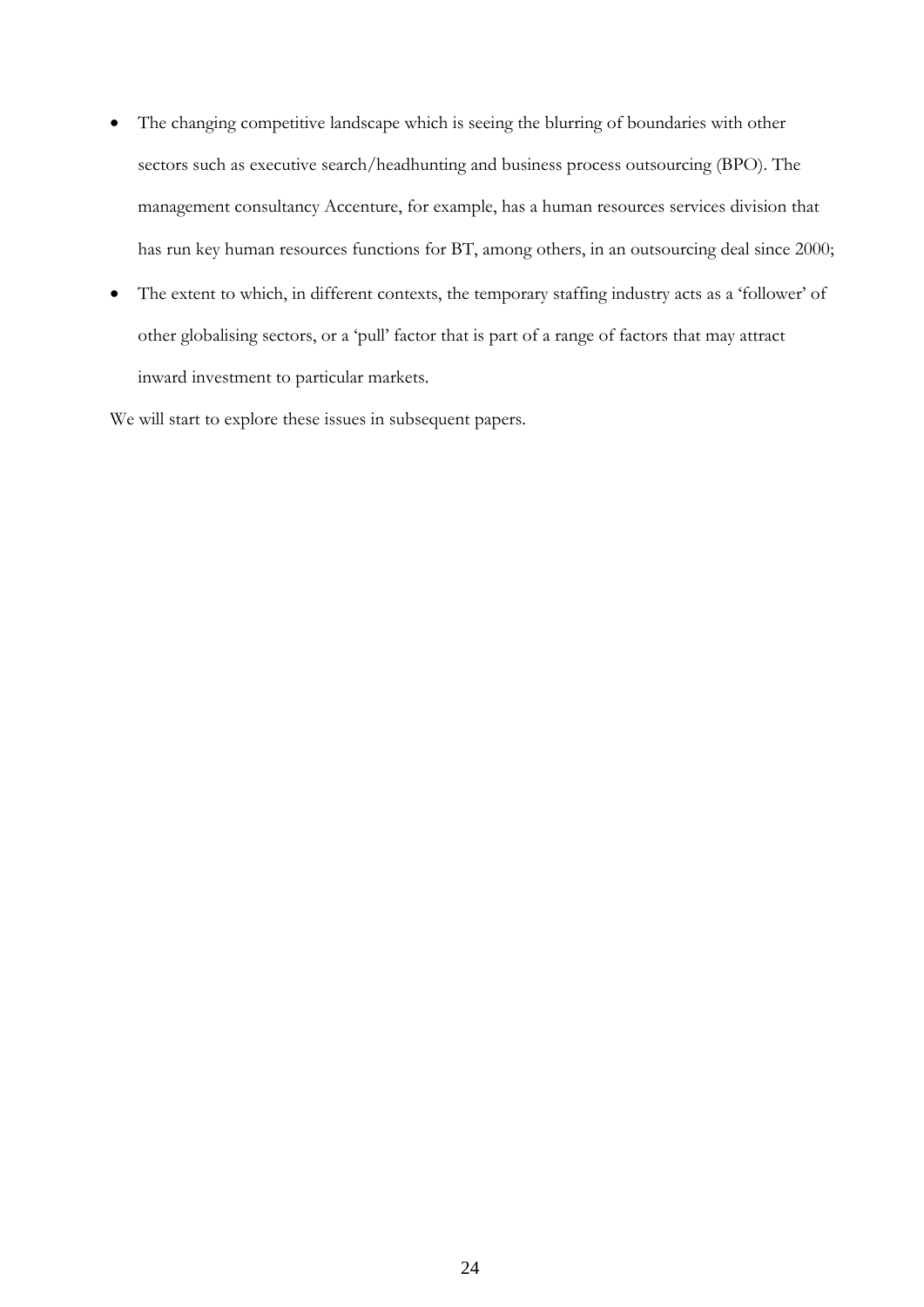- The changing competitive landscape which is seeing the blurring of boundaries with other sectors such as executive search/headhunting and business process outsourcing (BPO). The management consultancy Accenture, for example, has a human resources services division that has run key human resources functions for BT, among others, in an outsourcing deal since 2000;
- The extent to which, in different contexts, the temporary staffing industry acts as a 'follower' of other globalising sectors, or a 'pull' factor that is part of a range of factors that may attract inward investment to particular markets.

We will start to explore these issues in subsequent papers.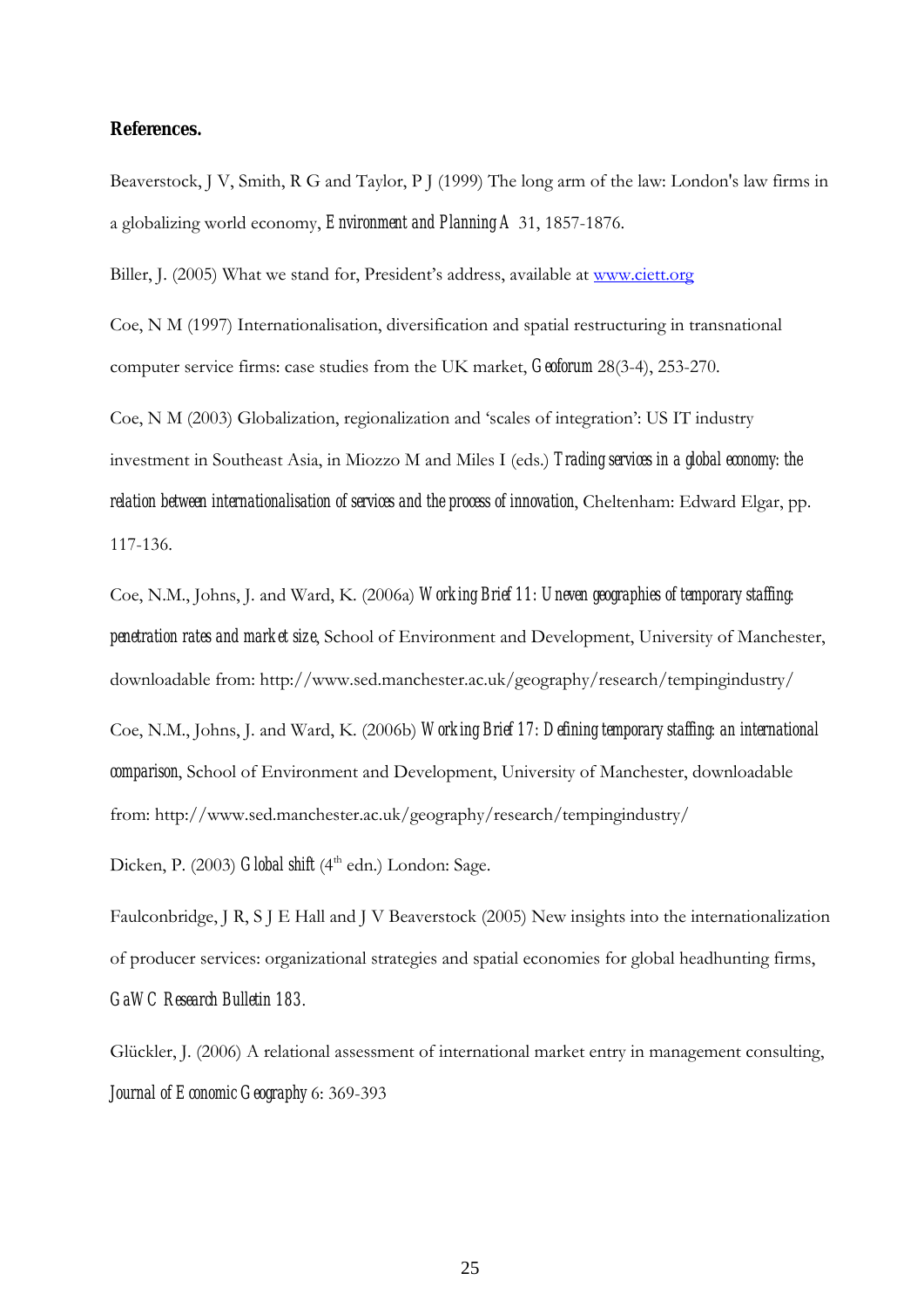#### **References.**

Beaverstock, J V, Smith, R G and Taylor, P J (1999) The long arm of the law: London's law firms in a globalizing world economy, *Environment and Planning A* 31, 1857-1876.

Biller, J. (2005) What we stand for, President's address, available at [www.ciett.org](http://www.ciett.org/)

Coe, N M (1997) Internationalisation, diversification and spatial restructuring in transnational computer service firms: case studies from the UK market, *Geoforum* 28(3-4), 253-270.

Coe, N M (2003) Globalization, regionalization and 'scales of integration': US IT industry investment in Southeast Asia, in Miozzo M and Miles I (eds.) *Trading services in a global economy: the relation between internationalisation of services and the process of innovation*, Cheltenham: Edward Elgar, pp. 117-136.

Coe, N.M., Johns, J. and Ward, K. (2006a) *Working Brief 11: [Uneven geographies of temporary staffing:](http://www.sed.manchester.ac.uk/geography/research/tempingindustry/download/wb_11.pdf)  [penetration rates and market size](http://www.sed.manchester.ac.uk/geography/research/tempingindustry/download/wb_11.pdf)*, School of Environment and Development, University of Manchester, downloadable from: http://www.sed.manchester.ac.uk/geography/research/tempingindustry/

Coe, N.M., Johns, J. and Ward, K. (2006b) *Working Brief 17: Defining temporary staffing: an international comparison*, School of Environment and Development, University of Manchester, downloadable from: http://www.sed.manchester.ac.uk/geography/research/tempingindustry/

Dicken, P. (2003) *Global shift* (4<sup>th</sup> edn.) London: Sage.

Faulconbridge, J R, S J E Hall and J V Beaverstock (2005) New insights into the internationalization of producer services: organizational strategies and spatial economies for global headhunting firms, *GaWC Research Bulletin 183*.

Glückler, J. (2006) A relational assessment of international market entry in management consulting, *Journal of Economic Geography* 6: 369-393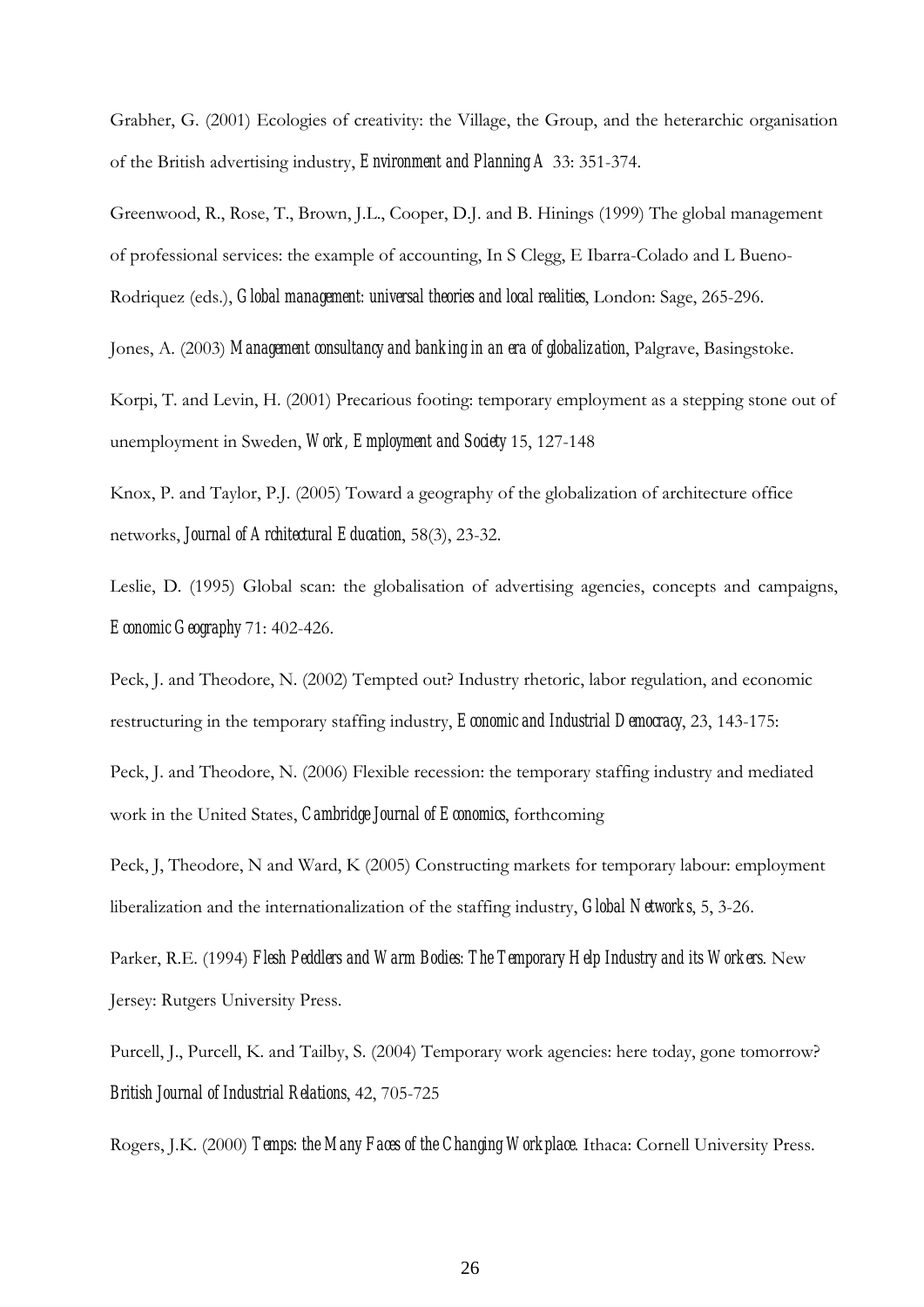Grabher, G. (2001) Ecologies of creativity: the Village, the Group, and the heterarchic organisation of the British advertising industry, *Environment and Planning A* 33: 351-374.

Greenwood, R., Rose, T., Brown, J.L., Cooper, D.J. and B. Hinings (1999) The global management of professional services: the example of accounting, In S Clegg, E Ibarra-Colado and L Bueno-Rodriquez (eds.), *Global management: universal theories and local realities*, London: Sage, 265-296.

Jones, A. (2003) *Management consultancy and banking in an era of globalization*, Palgrave, Basingstoke.

Korpi, T. and Levin, H. (2001) Precarious footing: temporary employment as a stepping stone out of unemployment in Sweden, *Work, Employment and Society* 15, 127-148

Knox, P. and Taylor, P.J. (2005) Toward a geography of the globalization of architecture office networks, *Journal of Architectural Education*, 58(3), 23-32.

Leslie, D. (1995) Global scan: the globalisation of advertising agencies, concepts and campaigns, *Economic Geography* 71: 402-426.

Peck, J. and Theodore, N. (2002) Tempted out? Industry rhetoric, labor regulation, and economic restructuring in the temporary staffing industry, *Economic and Industrial Democracy*, 23, 143-175:

Peck, J. and Theodore, N. (2006) Flexible recession: the temporary staffing industry and mediated work in the United States, *Cambridge Journal of Economics*, forthcoming

Peck, J, Theodore, N and Ward, K (2005) Constructing markets for temporary labour: employment liberalization and the internationalization of the staffing industry, *Global Networks*, 5, 3-26.

Parker, R.E. (1994) *Flesh Peddlers and Warm Bodies: The Temporary Help Industry and its Workers*. New Jersey: Rutgers University Press.

Purcell, J., Purcell, K. and Tailby, S. (2004) Temporary work agencies: here today, gone tomorrow? *British Journal of Industrial Relations*, 42, 705-725

Rogers, J.K. (2000) *Temps: the Many Faces of the Changing Workplace*. Ithaca: Cornell University Press.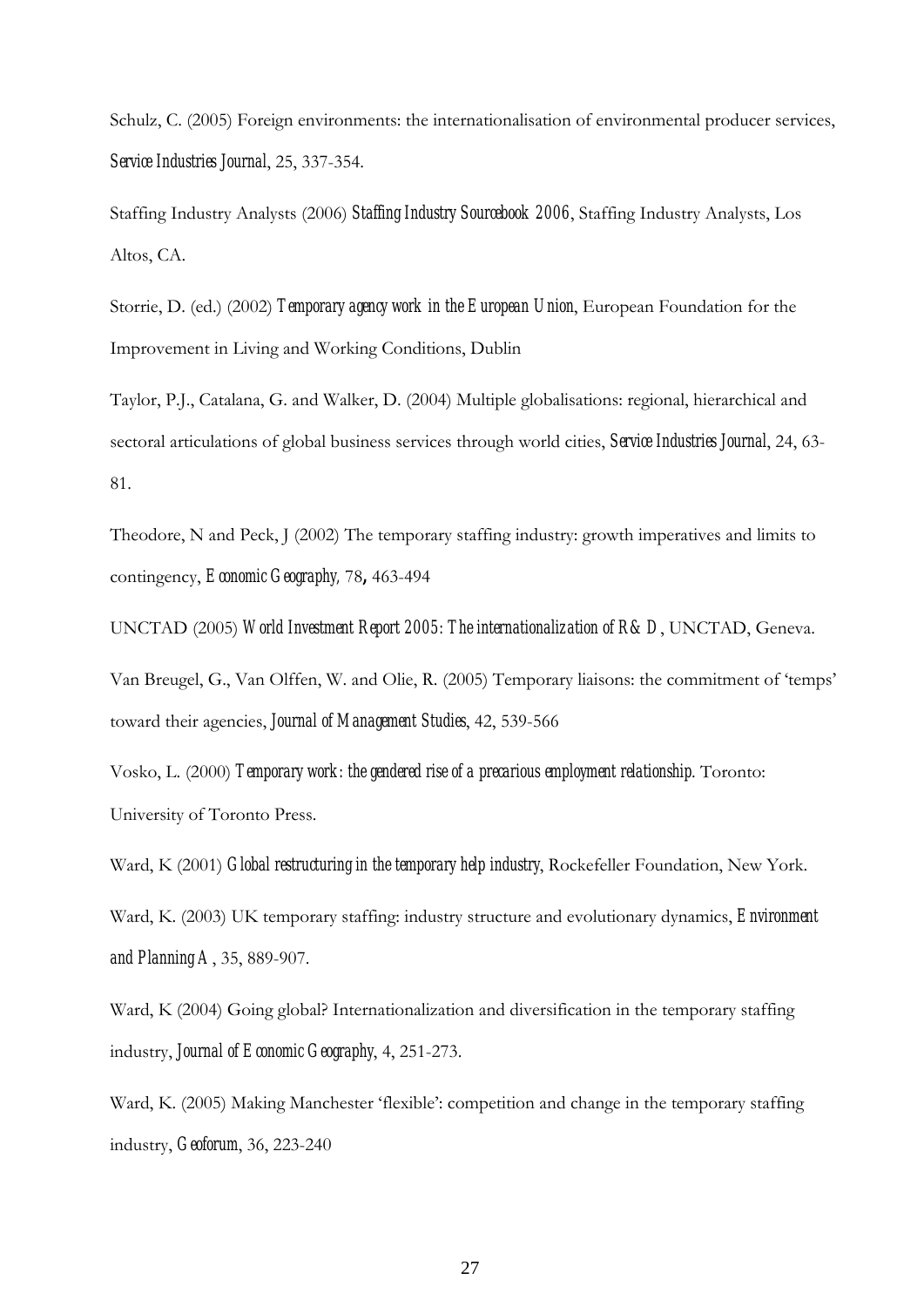Schulz, C. (2005) Foreign environments: the internationalisation of environmental producer services, *Service Industries Journal*, 25, 337-354.

Staffing Industry Analysts (2006) *Staffing Industry Sourcebook 2006*, Staffing Industry Analysts, Los Altos, CA.

Storrie, D. (ed.) (2002) *Temporary agency work in the European Union*, European Foundation for the Improvement in Living and Working Conditions, Dublin

Taylor, P.J., Catalana, G. and Walker, D. (2004) Multiple globalisations: regional, hierarchical and sectoral articulations of global business services through world cities, *Service Industries Journal*, 24, 63- 81.

Theodore, N and Peck, J (2002) The temporary staffing industry: growth imperatives and limits to contingency, *Economic Geography,* 78**,** 463-494

UNCTAD (2005) *World Investment Report 2005: The internationalization of R&D*, UNCTAD, Geneva.

Van Breugel, G., Van Olffen, W. and Olie, R. (2005) Temporary liaisons: the commitment of 'temps' toward their agencies, *Journal of Management Studies*, 42, 539-566

Vosko, L. (2000) *Temporary work: the gendered rise of a precarious employment relationship*. Toronto: University of Toronto Press.

Ward, K (2001) *Global restructuring in the temporary help industry*, Rockefeller Foundation, New York.

Ward, K. (2003) UK temporary staffing: industry structure and evolutionary dynamics, *Environment and Planning A*, 35, 889-907.

Ward, K (2004) Going global? Internationalization and diversification in the temporary staffing industry, *Journal of Economic Geography*, 4, 251-273.

Ward, K. (2005) Making Manchester 'flexible': competition and change in the temporary staffing industry, *Geoforum*, 36, 223-240